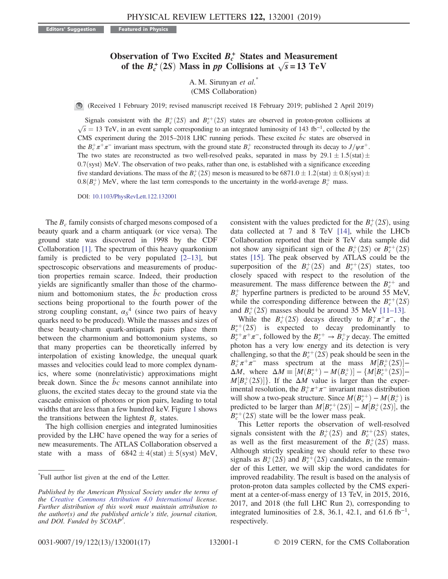## Observation of Two Excited  $B_c^+$  States and Measurement of the  $B_c^+(2S)$  Mass in pp Collisions at  $\sqrt{s} = 13 \text{ TeV}$

A. M. Sirunyan et al.<sup>\*</sup> (CMS Collaboration)

(Received 1 February 2019; revised manuscript received 18 February 2019; published 2 April 2019)

Signals consistent with the  $B_c^+(2S)$  and  $B_c^{*+}$ <br> $\bar{S} = 13$  TeV in an event sample corresponding Signals consistent with the  $B_c^+(2S)$  and  $B_c^{*+}(2S)$  states are observed in proton-proton collisions at  $\sqrt{s} = 13$  TeV, in an event sample corresponding to an integrated luminosity of 143 fb<sup>-1</sup>, collected by the CMS exp CMS experiment during the 2015–2018 LHC running periods. These excited  $\bar{b}c$  states are observed in the  $B_c^+\pi^+\pi^-$  invariant mass spectrum, with the ground state  $B_c^+$  reconstructed through its decay to  $J/\psi\pi^+$ . The two states are reconstructed as two well-resolved peaks, separated in mass by  $29.1 \pm 1.5$  (stat)  $\pm$  $0.7$ (syst) MeV. The observation of two peaks, rather than one, is established with a significance exceeding five standard deviations. The mass of the  $B_c^+(2S)$  meson is measured to be 6871.0  $\pm$  1.2(stat)  $\pm$  0.8(syst)  $\pm$  0.8 $(P<sup>+</sup>)$  MeV, where the last term corresponds to the uncertainty in the world average  $P<sup>+</sup>$  mas  $0.8(B_c^+)$  MeV, where the last term corresponds to the uncertainty in the world-average  $B_c^+$  mass.

DOI: [10.1103/PhysRevLett.122.132001](https://doi.org/10.1103/PhysRevLett.122.132001)

The  $B_c$  family consists of charged mesons composed of a beauty quark and a charm antiquark (or vice versa). The ground state was discovered in 1998 by the CDF Collaboration [\[1\]](#page-4-0). The spectrum of this heavy quarkonium family is predicted to be very populated  $[2-13]$ , but spectroscopic observations and measurements of production properties remain scarce. Indeed, their production yields are significantly smaller than those of the charmonium and bottomonium states, the  $bc$  production cross sections being proportional to the fourth power of the strong coupling constant,  $\alpha_s^4$  (since two pairs of heavy quarks need to be produced). While the masses and sizes of these beauty-charm quark-antiquark pairs place them between the charmonium and bottomonium systems, so that many properties can be theoretically inferred by interpolation of existing knowledge, the unequal quark masses and velocities could lead to more complex dynamics, where some (nonrelativistic) approximations might break down. Since the  $bc$  mesons cannot annihilate into gluons, the excited states decay to the ground state via the cascade emission of photons or pion pairs, leading to total widths that are less than a few hundred keV. Figure [1](#page-1-0) shows the transitions between the lightest  $B_c$  states.

The high collision energies and integrated luminosities provided by the LHC have opened the way for a series of new measurements. The ATLAS Collaboration observed a state with a mass of  $6842 \pm 4(stat) \pm 5(syst)$  MeV,

consistent with the values predicted for the  $B_c^+(2S)$ , using<br>data collected at 7 and 8 TeV [14], while the IHCh data collected at 7 and 8 TeV [\[14\]](#page-4-2), while the LHCb Collaboration reported that their 8 TeV data sample did not show any significant sign of the  $B_c^+(2S)$  or  $B_c^{*+}(2S)$ <br>states [15]. The peak observed by ATI AS could be the states [\[15\].](#page-4-3) The peak observed by ATLAS could be the superposition of the  $B_c^+(2S)$  and  $B_c^{*+}(2S)$  states, too closely spaced with respect to the resolution of the closely spaced with respect to the resolution of the measurement. The mass difference between the  $B_c^{*+}$  and  $B_c^+$  hyperfine partners is predicted to be around 55 MeV, while the corresponding difference between the  $B_c^{(+)}(2S)$ <br>and  $B_c^{+}(\sqrt{2}S)$  masses should be around 35 MeV [11-13] and  $B_c^+(2S)$  masses should be around 35 MeV [\[11](#page-4-4)–13].<br>While the  $B^+(2S)$  decays directly to  $B^+\pi^+\pi^-$  the

While the  $B_c^+(2S)$  decays directly to  $B_c^+ \pi^+ \pi^-$ , the  $f(2S)$  is expected to decay predominantly to  $B_c^{*+}(2S)$  is expected to decay predominantly to  $B^{*+}\pi^+\pi^-$  followed by the  $B^{*+} \to B^+\nu$  decay. The emitted  $B_c^{*+}\pi^+\pi^-$ , followed by the  $B_c^{*+} \to B_c^+\gamma$  decay. The emitted photon has a very low energy and its detection is very challenging, so that the  $B_c^{*+}(2S)$  peak should be seen in the  $B^+\pi^+\pi^-$  mass spectrum at the mass  $M[B^+(2S)]$  $B_c^+\pi^+\pi^-$  mass spectrum at the mass  $M[B_c^+(2S)]-\Lambda M$  where  $\Lambda M=[M(B^{*+})-M(B^{+})]-\Lambda M[B^{*+}(2S)]$  $\Delta M$ , where  $\Delta M \equiv [M(B_c^{*+}) - M(B_c^{+})] - \{M[B_c^{*+}(2S)] - M[B_c^{+}(2S)]\}$  If the  $\Delta M$  value is larger than the exper- $M[B_c^+(2S)]$ . If the  $\Delta M$  value is larger than the exper-<br>imental resolution the  $B^+\pi^+\pi^-$  invariant mass distribution imental resolution, the  $B_c^+\pi^+\pi^-$  invariant mass distribution will show a two-peak structure. Since  $M(B_c^{*+}) - M(B_c^{+})$  is<br>predicted to be larger than  $M[B^{*+}(2S)] - M[B^{+}(2S)]$  the predicted to be larger than  $M[B_c^{*+}(2S)] - M[B_c^{+}(2S)]$ , the  $B^{*+}(2S)$  state will be the lower mass neak  $B_c^{*+}(2S)$  state will be the lower mass peak.<br>This Letter reports the observation of

This Letter reports the observation of well-resolved signals consistent with the  $B_c^+(2S)$  and  $B_c^{*+}(2S)$  states,<br>as well as the first measurement of the  $B_c^{+}(2S)$  mass as well as the first measurement of the  $B_c^+(2S)$  mass.<br>Although strictly speaking we should refer to these two Although strictly speaking we should refer to these two signals as  $B_c^+(2S)$  and  $B_c^{*+}(2S)$  candidates, in the remain-<br>der of this Letter, we will skin the word candidates for der of this Letter, we will skip the word candidates for improved readability. The result is based on the analysis of proton-proton data samples collected by the CMS experiment at a center-of-mass energy of 13 TeV, in 2015, 2016, 2017, and 2018 (the full LHC Run 2), corresponding to integrated luminosities of 2.8, 36.1, 42.1, and 61.6 fb<sup>-1</sup>, respectively.

<sup>\*</sup> Full author list given at the end of the Letter.

Published by the American Physical Society under the terms of the [Creative Commons Attribution 4.0 International](https://creativecommons.org/licenses/by/4.0/) license. Further distribution of this work must maintain attribution to the author(s) and the published article's title, journal citation, and DOI. Funded by SCOAP<sup>3</sup>.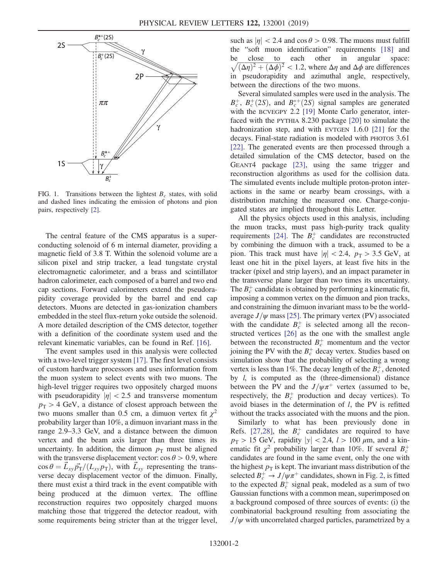<span id="page-1-0"></span>

FIG. 1. Transitions between the lightest  $B<sub>c</sub>$  states, with solid and dashed lines indicating the emission of photons and pion pairs, respectively [\[2\]](#page-4-1).

The central feature of the CMS apparatus is a superconducting solenoid of 6 m internal diameter, providing a magnetic field of 3.8 T. Within the solenoid volume are a silicon pixel and strip tracker, a lead tungstate crystal electromagnetic calorimeter, and a brass and scintillator hadron calorimeter, each composed of a barrel and two end cap sections. Forward calorimeters extend the pseudorapidity coverage provided by the barrel and end cap detectors. Muons are detected in gas-ionization chambers embedded in the steel flux-return yoke outside the solenoid. A more detailed description of the CMS detector, together with a definition of the coordinate system used and the relevant kinematic variables, can be found in Ref. [\[16\]](#page-4-5).

The event samples used in this analysis were collected with a two-level trigger system [\[17\].](#page-4-6) The first level consists of custom hardware processors and uses information from the muon system to select events with two muons. The high-level trigger requires two oppositely charged muons with pseudorapidity  $|\eta| < 2.5$  and transverse momentum  $p_T > 4$  GeV, a distance of closest approach between the two muons smaller than 0.5 cm, a dimuon vertex fit  $\chi^2$ probability larger than 10%, a dimuon invariant mass in the range 2.9–3.3 GeV, and a distance between the dimuon vertex and the beam axis larger than three times its uncertainty. In addition, the dimuon  $p<sub>T</sub>$  must be aligned with the transverse displacement vector:  $\cos \theta > 0.9$ , where  $\cos \theta = \vec{L}_{xy} \vec{p}_T / (L_{xy} p_T)$ , with  $\vec{L}_{xy}$  representing the transverse decay displacement vector of the dimuon. Finally, there must exist a third track in the event compatible with being produced at the dimuon vertex. The offline reconstruction requires two oppositely charged muons matching those that triggered the detector readout, with some requirements being stricter than at the trigger level, such as  $|\eta| < 2.4$  and cos  $\theta > 0.98$ . The muons must fulfill the "soft muon identification" requirements [\[18\]](#page-4-7) and be close to each other in angular space:<br> $\sqrt{(\Delta \eta)^2 + (\Delta \phi)^2}$  < 1.2, where  $\Delta \eta$  and  $\Delta \phi$  are differences  $\sqrt{(\Delta \eta)^2 + (\Delta \phi)^2}$  < 1.2, where  $\Delta \eta$  and  $\Delta \phi$  are differences<br>in pseudoranidity and azimuthal angle respectively in pseudorapidity and azimuthal angle, respectively, between the directions of the two muons.

Several simulated samples were used in the analysis. The  $B_c^+$ ,  $B_c^+(2S)$ , and  $B_c^{*+}(2S)$  signal samples are generated<br>with the BCVEGPY 2.2 [19] Monte Carlo generator, inter-with the BCVEGPY 2.2 [\[19\]](#page-4-8) Monte Carlo generator, interfaced with the PYTHIA 8.230 package [\[20\]](#page-4-9) to simulate the hadronization step, and with EVTGEN 1.6.0 [\[21\]](#page-5-0) for the decays. Final-state radiation is modeled with PHOTOS 3.61 [\[22\]](#page-5-1). The generated events are then processed through a detailed simulation of the CMS detector, based on the GEANT4 package [\[23\],](#page-5-2) using the same trigger and reconstruction algorithms as used for the collision data. The simulated events include multiple proton-proton interactions in the same or nearby beam crossings, with a distribution matching the measured one. Charge-conjugated states are implied throughout this Letter.

All the physics objects used in this analysis, including the muon tracks, must pass high-purity track quality requirements [\[24\]](#page-5-3). The  $B_c^+$  candidates are reconstructed by combining the dimuon with a track, assumed to be a pion. This track must have  $|\eta| < 2.4$ ,  $p_T > 3.5$  GeV, at least one hit in the pixel layers, at least five hits in the tracker (pixel and strip layers), and an impact parameter in the transverse plane larger than two times its uncertainty. The  $B_c^+$  candidate is obtained by performing a kinematic fit, imposing a common vertex on the dimuon and pion tracks, and constraining the dimuon invariant mass to be the worldaverage  $J/\psi$  mass [\[25\]](#page-5-4). The primary vertex (PV) associated with the candidate  $B_c^+$  is selected among all the reconstructed vertices [\[26\]](#page-5-5) as the one with the smallest angle between the reconstructed  $B_c^+$  momentum and the vector joining the PV with the  $B_c^+$  decay vertex. Studies based on simulation show that the probability of selecting a wrong vertex is less than 1%. The decay length of the  $B_c^+$ , denoted by  $l$ , is computed as the (three-dimensional) distance between the PV and the  $J/\psi \pi^+$  vertex (assumed to be, respectively, the  $B_c^+$  production and decay vertices). To avoid biases in the determination of l, the PV is refitted without the tracks associated with the muons and the pion.

Similarly to what has been previously done in Refs. [\[27,28\],](#page-5-6) the  $B_c^+$  candidates are required to have  $p_{\rm T} > 15$  GeV, rapidity  $|y| < 2.4$ ,  $l > 100 \mu$ m, and a kinematic fit  $\chi^2$  probability larger than 10%. If several  $B_c^+$ candidates are found in the same event, only the one with the highest  $p<sub>T</sub>$  is kept. The invariant mass distribution of the selected  $B_c^+ \rightarrow J/\psi \pi^+$  candidates, shown in Fig. [2](#page-2-0), is fitted to the expected  $B_c^+$  signal peak, modeled as a sum of two Gaussian functions with a common mean, superimposed on a background composed of three sources of events: (i) the combinatorial background resulting from associating the  $J/\psi$  with uncorrelated charged particles, parametrized by a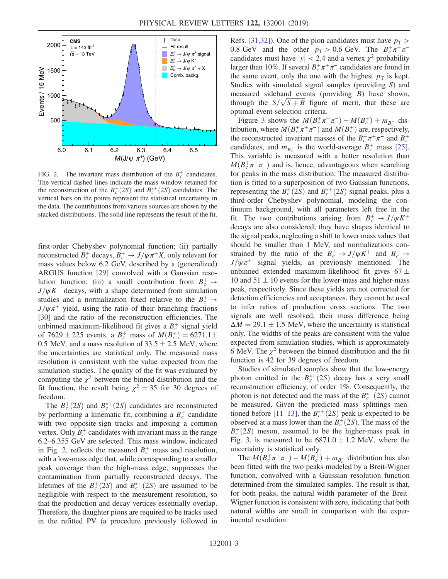<span id="page-2-0"></span>

FIG. 2. The invariant mass distribution of the  $B_c^+$  candidates. The vertical dashed lines indicate the mass window retained for the reconstruction of the  $B_c^+(2S)$  and  $B_c^{*+}(2S)$  candidates. The vertical hars on the points represent the statistical uncertainty in vertical bars on the points represent the statistical uncertainty in the data. The contributions from various sources are shown by the stacked distributions. The solid line represents the result of the fit.

first-order Chebyshev polynomial function; (ii) partially reconstructed  $B_c^+$  decays,  $B_c^+ \rightarrow J/\psi \pi^+ X$ , only relevant for mass values below 6.2 GeV, described by a (generalized) ARGUS function [\[29\]](#page-5-7) convolved with a Gaussian resolution function; (iii) a small contribution from  $B_c^+ \rightarrow$  $J/\psi K^{+}$  decays, with a shape determined from simulation studies and a normalization fixed relative to the  $B_c^+ \rightarrow$  $J/\psi\pi^+$  yield, using the ratio of their branching fractions [\[30\]](#page-5-8) and the ratio of the reconstruction efficiencies. The unbinned maximum-likelihood fit gives a  $B_c^+$  signal yield of 7629  $\pm$  225 events, a  $B_c^+$  mass of  $M(B_c^+) = 6271.1 \pm 0.5$  MeV and a mass resolution of 33.5  $\pm$  2.5 MeV where 0.5 MeV, and a mass resolution of  $33.5 \pm 2.5$  MeV, where the uncertainties are statistical only. The measured mass resolution is consistent with the value expected from the simulation studies. The quality of the fit was evaluated by computing the  $\chi^2$  between the binned distribution and the fit function, the result being  $\chi^2 = 35$  for 30 degrees of freedom.

The  $B_c^+(2S)$  and  $B_c^{*+}(2S)$  candidates are reconstructed<br>performing a kinematic fit combining a  $R^+$  candidate by performing a kinematic fit, combining a  $B_c^+$  candidate with two opposite-sign tracks and imposing a common vertex. Only  $B_c^+$  candidates with invariant mass in the range 6.2–6.355 GeV are selected. This mass window, indicated in Fig. [2](#page-2-0), reflects the measured  $B_c^+$  mass and resolution, with a low-mass edge that, while corresponding to a smaller peak coverage than the high-mass edge, suppresses the contamination from partially reconstructed decays. The lifetimes of the  $B_c^+(2S)$  and  $B_c^{*+}(2S)$  are assumed to be negligible with respect to the measurement resolution so negligible with respect to the measurement resolution, so that the production and decay vertices essentially overlap. Therefore, the daughter pions are required to be tracks used in the refitted PV (a procedure previously followed in Refs. [\[31,32\]\)](#page-5-9). One of the pion candidates must have  $p_T >$ 0.8 GeV and the other  $p_T > 0.6$  GeV. The  $B_c^+\pi^+\pi^$ candidates must have  $|y| < 2.4$  and a vertex  $\chi^2$  probability larger than 10%. If several  $B_c^+\pi^+\pi^-$  candidates are found in the same event, only the one with the highest  $p<sub>T</sub>$  is kept. Studies with simulated signal samples (providing S) and measured sideband events (providing B) have shown, through the  $S/\sqrt{S+B}$  figure of merit, that these are optimal event-selection criteria optimal event-selection criteria.

Figure [3](#page-3-0) shows the  $M(B_c^+\pi^+\pi^-) - M(B_c^+) + m_{B_c^+}$  dis-<br>bution where  $M(B^+\pi^+\pi^-)$  and  $M(B^+)$  are respectively tribution, where  $M(B_c^+\pi^+\pi^-)$  and  $M(B_c^+)$  are, respectively,<br>the reconstructed invariant masses of the  $B^+\pi^+\pi^-$  and  $B^+$ the reconstructed invariant masses of the  $B_c^+\pi^+\pi^-$  and  $B_c^+$ candidates, and  $m_{B_c^+}$  is the world-average  $B_c^+$  mass [\[25\]](#page-5-4). This variable is measured with a better resolution than  $M(B_c^+ \pi^+ \pi^-)$  and is, hence, advantageous when searching<br>for peaks in the mass distribution. The measured distribufor peaks in the mass distribution. The measured distribution is fitted to a superposition of two Gaussian functions, representing the  $B_c^+(2S)$  and  $B_c^{*+}(2S)$  signal peaks, plus a<br>third-order. Chebyshev, polynomial, modeling the conthird-order Chebyshev polynomial, modeling the continuum background, with all parameters left free in the fit. The two contributions arising from  $B_c^+ \rightarrow J/\psi K^+$ decays are also considered; they have shapes identical to the signal peaks, neglecting a shift to lower mass values that should be smaller than 1 MeV, and normalizations constrained by the ratio of the  $B_c^+ \rightarrow J/\psi K^+$  and  $B_c^+ \rightarrow$  $J/\psi \pi^+$  signal yields, as previously mentioned. The unbinned extended maximum-likelihood fit gives  $67 \pm$ 10 and  $51 \pm 10$  events for the lower-mass and higher-mass peak, respectively. Since these yields are not corrected for detection efficiencies and acceptances, they cannot be used to infer ratios of production cross sections. The two signals are well resolved, their mass difference being  $\Delta M = 29.1 \pm 1.5$  MeV, where the uncertainty is statistical only. The widths of the peaks are consistent with the value expected from simulation studies, which is approximately 6 MeV. The  $\chi^2$  between the binned distribution and the fit function is 42 for 39 degrees of freedom.

Studies of simulated samples show that the low-energy photon emitted in the  $B_c^{*+}(2S)$  decay has a very small<br>reconstruction efficiency of order 1%. Consequently, the reconstruction efficiency, of order 1%. Consequently, the photon is not detected and the mass of the  $B_c^{*+}(2S)$  cannot<br>be measured. Given the predicted mass splittings menbe measured. Given the predicted mass splittings men-tioned before [\[11](#page-4-4)–13], the  $B_c^{*+}(2S)$  peak is expected to be<br>observed at a mass lower than the  $B^+(2S)$ . The mass of the observed at a mass lower than the  $B_c^+(2S)$ . The mass of the  $B^+(2S)$  meson, assumed to be the higher-mass neak in  $B_c^+(2S)$  meson, assumed to be the higher-mass peak in<br>Fig. 3 is measured to be 6871.0 + 1.2 MeV, where the Fig. [3](#page-3-0), is measured to be  $6871.0 \pm 1.2$  MeV, where the uncertainty is statistical only.

The  $M(B_c^+ \pi^+ \pi^-) - M(B_c^+) + m_{B_c^+}$  distribution has also<br>en fitted with the two peaks modeled by a Breit-Wigner been fitted with the two peaks modeled by a Breit-Wigner function, convolved with a Gaussian resolution function determined from the simulated samples. The result is that, for both peaks, the natural width parameter of the Breit-Wigner function is consistent with zero, indicating that both natural widths are small in comparison with the experimental resolution.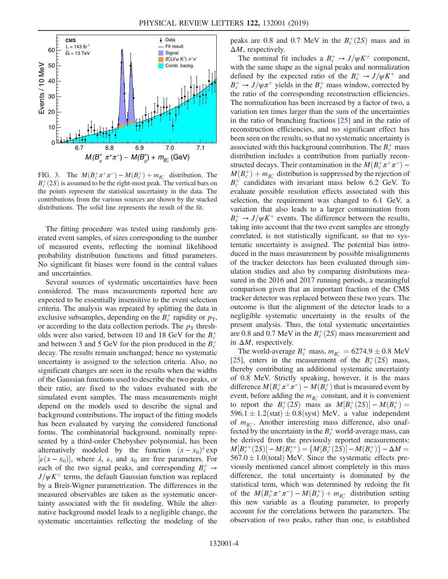<span id="page-3-0"></span>

FIG. 3. The  $M(B_c^+\pi^+\pi^-) - M(B_c^+) + m_{B_c^+}$  distribution. The  $B_c^+(S)$  is assumed to be the right-most neak. The vertical bars on  $B_c^+(2S)$  is assumed to be the right-most peak. The vertical bars on the points represent the statistical uncertainty in the data. The the points represent the statistical uncertainty in the data. The contributions from the various sources are shown by the stacked distributions. The solid line represents the result of the fit.

The fitting procedure was tested using randomly generated event samples, of sizes corresponding to the number of measured events, reflecting the nominal likelihood probability distribution functions and fitted parameters. No significant fit biases were found in the central values and uncertainties.

Several sources of systematic uncertainties have been considered. The mass measurements reported here are expected to be essentially insensitive to the event selection criteria. The analysis was repeated by splitting the data in exclusive subsamples, depending on the  $B_c^+$  rapidity or  $p_T$ , or according to the data collection periods. The  $p<sub>T</sub>$  thresholds were also varied, between 10 and 18 GeV for the  $B_c^+$ and between 3 and 5 GeV for the pion produced in the  $B_c^+$ decay. The results remain unchanged; hence no systematic uncertainty is assigned to the selection criteria. Also, no significant changes are seen in the results when the widths of the Gaussian functions used to describe the two peaks, or their ratio, are fixed to the values evaluated with the simulated event samples. The mass measurements might depend on the models used to describe the signal and background contributions. The impact of the fitting models has been evaluated by varying the considered functional forms. The combinatorial background, nominally represented by a third-order Chebyshev polynomial, has been alternatively modeled by the function  $(x - x_0)^{\lambda}$  exp  $[\nu(x-x_0)]$ , where  $\lambda$ ,  $\nu$ , and  $x_0$  are free parameters. For each of the two signal peaks, and corresponding  $B_c^+ \rightarrow$  $J/\psi K^+$  terms, the default Gaussian function was replaced by a Breit-Wigner parametrization. The differences in the measured observables are taken as the systematic uncertainty associated with the fit modeling. While the alternative background model leads to a negligible change, the systematic uncertainties reflecting the modeling of the

peaks are 0.8 and 0.7 MeV in the  $B_c^+(2S)$  mass and in  $\Delta M$  respectively  $\Delta M$ , respectively.

The nominal fit includes a  $B_c^+ \rightarrow J/\psi K^+$  component, with the same shape as the signal peaks and normalization defined by the expected ratio of the  $B_c^+ \rightarrow J/\psi K^+$  and  $B_c^+ \rightarrow J/\psi \pi^+$  yields in the  $B_c^+$  mass window, corrected by the ratio of the corresponding reconstruction efficiencies. The normalization has been increased by a factor of two, a variation ten times larger than the sum of the uncertainties in the ratio of branching fractions [\[25\]](#page-5-4) and in the ratio of reconstruction efficiencies, and no significant effect has been seen on the results, so that no systematic uncertainty is associated with this background contribution. The  $B_c^+$  mass distribution includes a contribution from partially reconstructed decays. Their contamination in the  $M(B_c^+\pi^+\pi^-) - M(B_c^+) + m_{\text{tot}}$  distribution is suppressed by the rejection of  $M(B_c^+) + m_{B_c^+}$  distribution is suppressed by the rejection of  $B^+$  candidates with invariant mass below 6.2 GeV. To  $B_c^+$  candidates with invariant mass below 6.2 GeV. To evaluate possible resolution effects associated with this selection, the requirement was changed to 6.1 GeV, a variation that also leads to a larger contamination from  $B_c^+ \rightarrow J/\psi K^+$  events. The difference between the results, taking into account that the two event samples are strongly correlated, is not statistically significant, so that no systematic uncertainty is assigned. The potential bias introduced in the mass measurement by possible misalignments of the tracker detectors has been evaluated through simulation studies and also by comparing distributions measured in the 2016 and 2017 running periods, a meaningful comparison given that an important fraction of the CMS tracker detector was replaced between these two years. The outcome is that the alignment of the detector leads to a negligible systematic uncertainty in the results of the present analysis. Thus, the total systematic uncertainties are 0.8 and 0.7 MeV in the  $B_c^+(2S)$  mass measurement and<br>in  $\Delta M$  respectively in  $\Delta M$ , respectively.

The world-average  $B_c^+$  mass,  $m_{B_c^+} = 6274.9 \pm 0.8$  MeV<br>51 enters in the measurement of the  $B^+(2S)$  mass [\[25\]](#page-5-4), enters in the measurement of the  $B_c^+(2S)$  mass,<br>thereby contributing an additional systematic uncertainty thereby contributing an additional systematic uncertainty of 0.8 MeV. Strictly speaking, however, it is the mass difference  $M(B_c^+\pi^+\pi^-) - M(B_c^+)$  that is measured event by<br>event before adding the  $m_{\text{tot}}$  constant, and it is convenient event, before adding the  $m_{B_c^+}$  constant, and it is convenient to report the  $B_c^+(2S)$  mass as  $M[B_c^+(2S)] - M(B_c^+) =$ <br>596.1 + 1.2(stat) + 0.8(syst) MeV a value independent 596.1  $\pm$  1.2(stat)  $\pm$  0.8(syst) MeV, a value independent of  $m_{B_c^+}$ . Another interesting mass difference, also unaffected by the uncertainty in the  $B_c^+$  world-average mass, can be derived from the previously reported measurements:  $M[B_c^{*+}(2S)] - M(B_c^{*+}) = \{M[B_c^{+}(2S)] - M(B_c^{+})\} - \Delta M = 567.0 + 1.0$  (total) MeV. Since the systematic effects pre- $567.0 \pm 1.0$ (total) MeV. Since the systematic effects previously mentioned cancel almost completely in this mass difference, the total uncertainty is dominated by the statistical term, which was determined by redoing the fit of the  $M(B_c^+\pi^+\pi^-) - M(B_c^+) + m_{B_c^+}$  distribution setting<br>this new variable as a floating parameter to properly this new variable as a floating parameter, to properly account for the correlations between the parameters. The observation of two peaks, rather than one, is established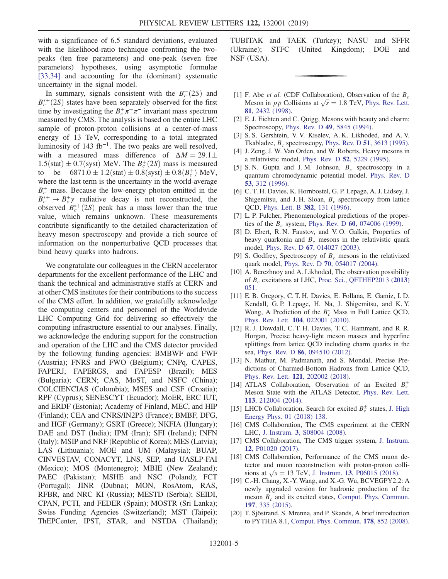with a significance of 6.5 standard deviations, evaluated with the likelihood-ratio technique confronting the twopeaks (ten free parameters) and one-peak (seven free parameters) hypotheses, using asymptotic formulae [\[33,34\]](#page-5-10) and accounting for the (dominant) systematic uncertainty in the signal model.

In summary, signals consistent with the  $B_c^+(2S)$  and  $f(2S)$  states have been senarately observed for the first  $B_c^{*+}(2S)$  states have been separately observed for the first<br>time by investigating the  $B^+\pi^+\pi^-$  invariant mass spectrum time by investigating the  $B_c^+\pi^+\pi^-$  invariant mass spectrum measured by CMS. The analysis is based on the entire LHC sample of proton-proton collisions at a center-of-mass energy of 13 TeV, corresponding to a total integrated luminosity of 143 fb<sup>-1</sup>. The two peaks are well resolved, with a measured mass difference of  $\Delta M = 29.1 \pm$ 1.5(stat)  $\pm$  0.7(syst) MeV. The  $B_c^+(2S)$  mass is measured<br>to be 6871.0 + 1.2(stat) + 0.8(syst) + 0.8( $R^+$ ) MeV to be  $6871.0 \pm 1.2$ (stat)  $\pm 0.8$ (syst)  $\pm 0.8$ ( $B_c^+$ ) MeV,<br>where the last term is the uncertainty in the world-average where the last term is the uncertainty in the world-average  $B_c^+$  mass. Because the low-energy photon emitted in the  $B_c^{*+} \rightarrow B_c^+\gamma$  radiative decay is not reconstructed, the observed  $B_c^{*+}(2S)$  peak has a mass lower than the true<br>value which remains unknown. These measurements value, which remains unknown. These measurements contribute significantly to the detailed characterization of heavy meson spectroscopy and provide a rich source of information on the nonperturbative QCD processes that bind heavy quarks into hadrons.

We congratulate our colleagues in the CERN accelerator departments for the excellent performance of the LHC and thank the technical and administrative staffs at CERN and at other CMS institutes for their contributions to the success of the CMS effort. In addition, we gratefully acknowledge the computing centers and personnel of the Worldwide LHC Computing Grid for delivering so effectively the computing infrastructure essential to our analyses. Finally, we acknowledge the enduring support for the construction and operation of the LHC and the CMS detector provided by the following funding agencies: BMBWF and FWF (Austria); FNRS and FWO (Belgium); CNPq, CAPES, FAPERJ, FAPERGS, and FAPESP (Brazil); MES (Bulgaria); CERN; CAS, MoST, and NSFC (China); COLCIENCIAS (Colombia); MSES and CSF (Croatia); RPF (Cyprus); SENESCYT (Ecuador); MoER, ERC IUT, and ERDF (Estonia); Academy of Finland, MEC, and HIP (Finland); CEA and CNRS/IN2P3 (France); BMBF, DFG, and HGF (Germany); GSRT (Greece); NKFIA (Hungary); DAE and DST (India); IPM (Iran); SFI (Ireland); INFN (Italy); MSIP and NRF (Republic of Korea); MES (Latvia); LAS (Lithuania); MOE and UM (Malaysia); BUAP, CINVESTAV, CONACYT, LNS, SEP, and UASLP-FAI (Mexico); MOS (Montenegro); MBIE (New Zealand); PAEC (Pakistan); MSHE and NSC (Poland); FCT (Portugal); JINR (Dubna); MON, RosAtom, RAS, RFBR, and NRC KI (Russia); MESTD (Serbia); SEIDI, CPAN, PCTI, and FEDER (Spain); MOSTR (Sri Lanka); Swiss Funding Agencies (Switzerland); MST (Taipei); ThEPCenter, IPST, STAR, and NSTDA (Thailand); TUBITAK and TAEK (Turkey); NASU and SFFR (Ukraine); STFC (United Kingdom); DOE and NSF (USA).

- <span id="page-4-0"></span>[1] F. Abe et al. (CDF Collaboration), Observation of the  $B_c$ Meson in  $p\bar{p}$  Collisions at  $\sqrt{s} = 1.8$  TeV, [Phys. Rev. Lett.](https://doi.org/10.1103/PhysRevLett.81.2432)<br>81. 2432 (1998) 81[, 2432 \(1998\)](https://doi.org/10.1103/PhysRevLett.81.2432).
- <span id="page-4-1"></span>[2] E. J. Eichten and C. Quigg, Mesons with beauty and charm: Spectroscopy, Phys. Rev. D 49[, 5845 \(1994\).](https://doi.org/10.1103/PhysRevD.49.5845)
- [3] S. S. Gershtein, V. V. Kiselev, A. K. Likhoded, and A. V. Tkabladze,  $B_c$  spectroscopy, Phys. Rev. D 51[, 3613 \(1995\).](https://doi.org/10.1103/PhysRevD.51.3613)
- [4] J. Zeng, J. W. Van Orden, and W. Roberts, Heavy mesons in a relativistic model, Phys. Rev. D 52[, 5229 \(1995\)](https://doi.org/10.1103/PhysRevD.52.5229).
- [5] S. N. Gupta and J. M. Johnson,  $B_c$  spectroscopy in a quantum chromodynamic potential model, [Phys. Rev. D](https://doi.org/10.1103/PhysRevD.53.312) 53[, 312 \(1996\).](https://doi.org/10.1103/PhysRevD.53.312)
- [6] C. T. H. Davies, K. Hornbostel, G. P. Lepage, A. J. Lidsey, J. Shigemitsu, and J. H. Sloan,  $B_c$  spectroscopy from lattice QCD, [Phys. Lett. B](https://doi.org/10.1016/0370-2693(96)00650-8) 382, 131 (1996).
- [7] L. P. Fulcher, Phenomenological predictions of the properties of the  $B_c$  system, Phys. Rev. D 60[, 074006 \(1999\).](https://doi.org/10.1103/PhysRevD.60.074006)
- [8] D. Ebert, R. N. Faustov, and V. O. Galkin, Properties of heavy quarkonia and  $B_c$  mesons in the relativistic quark model, Phys. Rev. D 67[, 014027 \(2003\).](https://doi.org/10.1103/PhysRevD.67.014027)
- [9] S. Godfrey, Spectroscopy of  $B<sub>c</sub>$  mesons in the relativized quark model, Phys. Rev. D 70[, 054017 \(2004\).](https://doi.org/10.1103/PhysRevD.70.054017)
- [10] A. Berezhnoy and A. Likhoded, The observation possibility of  $B_c$  excitations at LHC, [Proc. Sci., QFTHEP2013 \(](https://doi.org/10.22323/1.183.0051)2013) [051.](https://doi.org/10.22323/1.183.0051)
- <span id="page-4-4"></span>[11] E. B. Gregory, C. T. H. Davies, E. Follana, E. Gamiz, I. D. Kendall, G. P. Lepage, H. Na, J. Shigemitsu, and K. Y. Wong, A Prediction of the  $B_c^*$  Mass in Full Lattice QCD, Phys. Rev. Lett. 104[, 022001 \(2010\).](https://doi.org/10.1103/PhysRevLett.104.022001)
- [12] R. J. Dowdall, C. T. H. Davies, T. C. Hammant, and R. R. Horgan, Precise heavy-light meson masses and hyperfine splittings from lattice QCD including charm quarks in the sea, Phys. Rev. D 86[, 094510 \(2012\)](https://doi.org/10.1103/PhysRevD.86.094510).
- [13] N. Mathur, M. Padmanath, and S. Mondal, Precise Predictions of Charmed-Bottom Hadrons from Lattice QCD, Phys. Rev. Lett. 121[, 202002 \(2018\).](https://doi.org/10.1103/PhysRevLett.121.202002)
- <span id="page-4-2"></span>[14] ATLAS Collaboration, Observation of an Excited  $B_c^{\pm}$ Meson State with the ATLAS Detector, [Phys. Rev. Lett.](https://doi.org/10.1103/PhysRevLett.113.212004) 113[, 212004 \(2014\).](https://doi.org/10.1103/PhysRevLett.113.212004)
- <span id="page-4-3"></span>[15] LHCb Collaboration, Search for excited  $B_c^{\pm}$  states, [J. High](https://doi.org/10.1007/JHEP01(2018)138) [Energy Phys. 01 \(2018\) 138.](https://doi.org/10.1007/JHEP01(2018)138)
- <span id="page-4-5"></span>[16] CMS Collaboration, The CMS experiment at the CERN LHC, J. Instrum. 3[, S08004 \(2008\).](https://doi.org/10.1088/1748-0221/3/08/S08004)
- <span id="page-4-6"></span>[17] CMS Collaboration, The CMS trigger system, [J. Instrum.](https://doi.org/10.1088/1748-0221/12/01/P01020) 12[, P01020 \(2017\)](https://doi.org/10.1088/1748-0221/12/01/P01020).
- <span id="page-4-7"></span>[18] CMS Collaboration, Performance of the CMS muon detector and muon reconstruction with proton-proton collisions at  $\sqrt{s} = 13$  TeV, J. Instrum. 13[, P06015 \(2018\)](https://doi.org/10.1088/1748-0221/13/06/P06015).<br>C.H. Chang X.Y. Wang and X.G. Wu. BCVEGPY2.
- <span id="page-4-8"></span>[19] C.-H. Chang, X.-Y. Wang, and X.-G. Wu, BCVEGPY2.2: A newly upgraded version for hadronic production of the meson  $B_c$  and its excited states, [Comput. Phys. Commun.](https://doi.org/10.1016/j.cpc.2015.07.015) 197[, 335 \(2015\)](https://doi.org/10.1016/j.cpc.2015.07.015).
- <span id="page-4-9"></span>[20] T. Sjöstrand, S. Mrenna, and P. Skands, A brief introduction to PYTHIA 8.1, [Comput. Phys. Commun.](https://doi.org/10.1016/j.cpc.2008.01.036) 178, 852 (2008).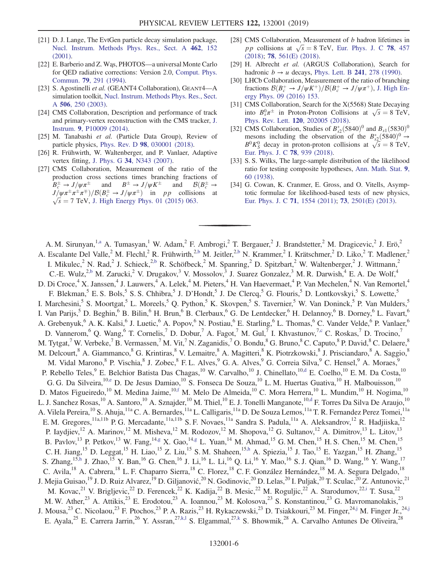- <span id="page-5-0"></span>[21] D. J. Lange, The EvtGen particle decay simulation package, [Nucl. Instrum. Methods Phys. Res., Sect. A](https://doi.org/10.1016/S0168-9002(01)00089-4) 462, 152 [\(2001\).](https://doi.org/10.1016/S0168-9002(01)00089-4)
- <span id="page-5-1"></span>[22] E. Barberio and Z. Wąs, PHOTOS—a universal Monte Carlo for QED radiative corrections: Version 2.0, [Comput. Phys.](https://doi.org/10.1016/0010-4655(94)90074-4) Commun. 79[, 291 \(1994\).](https://doi.org/10.1016/0010-4655(94)90074-4)
- <span id="page-5-2"></span>[23] S. Agostinelli et al. (GEANT4 Collaboration), GEANT4—A simulation toolkit, [Nucl. Instrum. Methods Phys. Res., Sect.](https://doi.org/10.1016/S0168-9002(03)01368-8) A 506[, 250 \(2003\).](https://doi.org/10.1016/S0168-9002(03)01368-8)
- <span id="page-5-3"></span>[24] CMS Collaboration, Description and performance of track and primary-vertex reconstruction with the CMS tracker, [J.](https://doi.org/10.1088/1748-0221/9/10/P10009) Instrum. 9[, P10009 \(2014\).](https://doi.org/10.1088/1748-0221/9/10/P10009)
- <span id="page-5-4"></span>[25] M. Tanabashi et al. (Particle Data Group), Review of particle physics, Phys. Rev. D 98[, 030001 \(2018\).](https://doi.org/10.1103/PhysRevD.98.030001)
- <span id="page-5-5"></span>[26] R. Frühwirth, W. Waltenberger, and P. Vanlaer, Adaptive vertex fitting, J. Phys. G 34[, N343 \(2007\)](https://doi.org/10.1088/0954-3899/34/12/N01).
- <span id="page-5-6"></span>[27] CMS Collaboration, Measurement of the ratio of the production cross sections times branching fractions of  $B_c^{\pm} \to J/\psi \pi^{\pm}$  and  $B^{\pm} \to J/\psi K^{\pm}$  and  $B(B_c^{\pm} \to J/\psi \pi^{\pm} \pi^{\pm} \pi^{\mp})/B(B_c^{\pm} \to J/\psi \pi^{\pm})$  in an collisions at  $J/\psi \pi^{\pm} \pi^{\pm} \pi^{\mp}$ )/ $B(B_c^{\pm} \to J/\psi \pi^{\pm})$  in pp collisions at  $\sqrt{s} = 7$  TeV, J. High Energy Phys. 01 (2015) 063.  $\sqrt{s}$  = 7 TeV, [J. High Energy Phys. 01 \(2015\) 063.](https://doi.org/10.1007/JHEP01(2015)063)
- [28] CMS Collaboration, Measurement of b hadron lifetimes in pp collisions at  $\sqrt{s} = 8$  TeV, [Eur. Phys. J. C](https://doi.org/10.1140/epjc/s10052-018-5929-3) 78, 457 (2018): 78, 561(F) (2018). [\(2018\);](https://doi.org/10.1140/epjc/s10052-018-5929-3) 78[, 561\(E\) \(2018\).](https://doi.org/10.1140/epjc/s10052-018-6014-7)
- <span id="page-5-7"></span>[29] H. Albrecht et al. (ARGUS Collaboration), Search for hadronic  $b \rightarrow u$  decays, [Phys. Lett. B](https://doi.org/10.1016/0370-2693(90)91293-K) 241, 278 (1990).
- <span id="page-5-8"></span>[30] LHCb Collaboration, Measurement of the ratio of branching fractions  $\mathcal{B}(B_c^+ \to J/\psi K^+)/\mathcal{B}(B_c^+ \to J/\psi \pi^+)$ , J. High Energy Phys. 09 (2016) 153 [ergy Phys. 09 \(2016\) 153.](https://doi.org/10.1007/JHEP09(2016)153)
- <span id="page-5-9"></span>[31] CMS Collaboration, Search for the X(5568) State Decaying into  $B_s^0 \pi^{\pm}$  in Proton-Proton Collisions at  $\sqrt{s} = 8$  TeV,<br>Phys. Rev. Lett. 120, 202005 (2018) Phys. Rev. Lett. 120[, 202005 \(2018\).](https://doi.org/10.1103/PhysRevLett.120.202005)
- [32] CMS Collaboration, Studies of  $B_{s2}^*(5840)^0$  and  $B_{s1}(5830)^0$ <br>mesons including the observation of the  $B^*(5840)^0 \rightarrow$ mesons including the observation of the  $B_{s2}^{*}(5840)^{0} \rightarrow$ <br> $B^{0}K^{0}$  decay in proton-proton collisions at  $\sqrt{s} = 8$  TeV  $B^0 K_S^0$  decay in proton-proton collisions at  $\sqrt{s} = 8$  TeV,<br>Fur Phys I C 78 939 (2018) [Eur. Phys. J. C](https://doi.org/10.1140/epjc/s10052-018-6390-z) 78, 939 (2018).
- <span id="page-5-10"></span>[33] S. S. Wilks, The large-sample distribution of the likelihood ratio for testing composite hypotheses, [Ann. Math. Stat.](https://doi.org/10.1214/aoms/1177732360) 9, [60 \(1938\).](https://doi.org/10.1214/aoms/1177732360)
- [34] G. Cowan, K. Cranmer, E. Gross, and O. Vitells, Asymptotic formulae for likelihood-based tests of new physics, [Eur. Phys. J. C](https://doi.org/10.1140/epjc/s10052-011-1554-0) 71, 1554 (2011); 73[, 2501\(E\) \(2013\).](https://doi.org/10.1140/epjc/s10052-013-2501-z)

<span id="page-5-21"></span><span id="page-5-20"></span><span id="page-5-19"></span><span id="page-5-18"></span><span id="page-5-17"></span><span id="page-5-16"></span><span id="page-5-15"></span><span id="page-5-14"></span><span id="page-5-13"></span><span id="page-5-12"></span><span id="page-5-11"></span>A. M. Sirunyan,<sup>1[,a](#page-15-0)</sup> A. Tumasyan,<sup>1</sup> W. Adam,<sup>2</sup> F. Ambrogi,<sup>2</sup> T. Bergauer,<sup>2</sup> J. Brandstetter,<sup>2</sup> M. Dragicevic,<sup>2</sup> J. Erö,<sup>2</sup> A. Escalante Del Valle,<sup>2</sup> M. Flechl,<sup>2</sup> R. Frühwirth,<sup>[2,b](#page-15-1)</sup> M. Jeitler,<sup>2,b</sup> N. Krammer,<sup>2</sup> I. Krätschmer,<sup>2</sup> D. Liko,<sup>2</sup> T. Madlener,<sup>2</sup> I. Mikulec,<sup>2</sup> N. Rad,<sup>2</sup> J. Schieck,<sup>[2,b](#page-15-1)</sup> R. Schöfbeck,<sup>2</sup> M. Spanring,<sup>2</sup> D. Spitzbart,<sup>2</sup> W. Waltenberger,<sup>2</sup> J. Wittmann,<sup>2</sup> C.-E. Wulz,<sup>[2,b](#page-15-1)</sup> M. Zarucki,<sup>2</sup> V. Drugakov,<sup>3</sup> V. Mossolov,<sup>3</sup> J. Suarez Gonzalez,<sup>3</sup> M. R. Darwish,<sup>4</sup> E. A. De Wolf,<sup>4</sup> D. Di Croce,<sup>4</sup> X. Janssen,<sup>4</sup> J. Lauwers,<sup>4</sup> A. Lelek,<sup>4</sup> M. Pieters,<sup>4</sup> H. Van Haevermaet,<sup>4</sup> P. Van Mechelen,<sup>4</sup> N. Van Remortel,<sup>4</sup> F. Blekman,<sup>5</sup> E. S. Bols,<sup>5</sup> S. S. Chhibra,<sup>5</sup> J. D'Hondt,<sup>5</sup> J. De Clercq,<sup>5</sup> G. Flouris,<sup>5</sup> D. Lontkovskyi,<sup>5</sup> S. Lowette,<sup>5</sup> I. Marchesini,<sup>5</sup> S. Moortgat,<sup>5</sup> L. Moreels,<sup>5</sup> Q. Python,<sup>5</sup> K. Skovpen,<sup>5</sup> S. Tavernier,<sup>5</sup> W. Van Doninck,<sup>5</sup> P. Van Mulders,<sup>5</sup> I. Van Parijs,<sup>5</sup> D. Beghin,<sup>6</sup> B. Bilin,<sup>6</sup> H. Brun,<sup>6</sup> B. Clerbaux,<sup>6</sup> G. De Lentdecker,<sup>6</sup> H. Delannoy,<sup>6</sup> B. Dorney,<sup>6</sup> L. Favart,<sup>6</sup> A. Grebenyuk,<sup>6</sup> A. K. Kalsi,<sup>6</sup> J. Luetic,<sup>6</sup> A. Popov,<sup>6</sup> N. Postiau,<sup>6</sup> E. Starling,<sup>6</sup> L. Thomas,<sup>6</sup> C. Vander Velde,<sup>6</sup> P. Vanlaer,<sup>6</sup> D. Vannerom, <sup>6</sup> Q. Wang, <sup>6</sup> T. Cornelis, <sup>7</sup> D. Dobur, <sup>7</sup> A. Fagot, <sup>7</sup> M. Gul, <sup>7</sup> I. Khvastunov, <sup>7, c</sup> C. Roskas, <sup>7</sup> D. Trocino, <sup>7</sup> M. Tytgat,<sup>7</sup> W. Verbeke,<sup>7</sup> B. Vermassen,<sup>7</sup> M. Vit,<sup>7</sup> N. Zaganidis,<sup>7</sup> O. Bondu,<sup>8</sup> G. Bruno,<sup>8</sup> C. Caputo,<sup>8</sup> P. David,<sup>8</sup> C. Delaere,<sup>8</sup> M. Delcourt, <sup>8</sup> A. Giammanco, <sup>8</sup> G. Krintiras, <sup>8</sup> V. Lemaitre, <sup>8</sup> A. Magitteri, <sup>8</sup> K. Piotrzkowski, <sup>8</sup> J. Prisciandaro, <sup>8</sup> A. Saggio, <sup>8</sup> M. Vidal Marono,<sup>8</sup> P. Vischia,<sup>8</sup> J. Zobec,<sup>8</sup> F. L. Alves,<sup>9</sup> G. A. Alves,<sup>9</sup> G. Correia Silva,<sup>9</sup> C. Hensel,<sup>9</sup> A. Moraes, P. Rebello Teles,<sup>9</sup> E. Belchior Batista Das Chagas,<sup>10</sup> W. Carvalho,<sup>10</sup> J. Chinellato,<sup>10[,d](#page-15-3)</sup> E. Coelho,<sup>10</sup> E. M. Da Costa,<sup>10</sup> G. G. Da Silveira,<sup>10[,e](#page-15-4)</sup> D. De Jesus Damiao,<sup>10</sup> S. Fonseca De Souza,<sup>10</sup> L. M. Huertas Guativa,<sup>10</sup> H. Malbouisson,<sup>10</sup> D. Matos Figueiredo,<sup>10</sup> M. Medina Jaime,<sup>10[,f](#page-15-5)</sup> M. Melo De Almeida,<sup>10</sup> C. Mora Herrera,<sup>10</sup> L. Mundim,<sup>10</sup> H. Nogima,<sup>10</sup> L. J. Sanchez Rosas,<sup>10</sup> A. Santoro,<sup>10</sup> A. Sznajder,<sup>10</sup> M. Thiel,<sup>10</sup> E. J. Tonelli Manganote,<sup>10[,d](#page-15-3)</sup> F. Torres Da Silva De Araujo,<sup>10</sup> A. Vilela Pereira,<sup>10</sup> S. Ahuja,<sup>11a</sup> C. A. Bernardes,<sup>11a</sup> L. Calligaris,<sup>11a</sup> D. De Souza Lemos,<sup>11a</sup> T. R. Fernandez Perez Tomei,<sup>11a</sup> E. M. Gregores,<sup>11a,11b</sup> P. G. Mercadante,<sup>11a,11b</sup> S. F. Novaes,<sup>11a</sup> Sandra S. Padula,<sup>11a</sup> A. Aleksandrov,<sup>12</sup> R. Hadjiiska,<sup>12</sup> P. Iaydjiev,<sup>12</sup> A. Marinov,<sup>12</sup> M. Misheva,<sup>12</sup> M. Rodozov,<sup>12</sup> M. Shopova,<sup>12</sup> G. Sultanov,<sup>12</sup> A. Dimitrov,<sup>13</sup> L. Litov,<sup>13</sup> B. Pavlov,<sup>13</sup> P. Petkov,<sup>13</sup> W. Fang,<sup>1[4,g](#page-15-6)</sup> X. Gao,<sup>14,g</sup> L. Yuan,<sup>14</sup> M. Ahmad,<sup>15</sup> G. M. Chen,<sup>15</sup> H. S. Chen,<sup>15</sup> M. Chen,<sup>15</sup> C. H. Jiang,<sup>15</sup> D. Leggat,<sup>15</sup> H. Liao,<sup>15</sup> Z. Liu,<sup>15</sup> S. M. Shaheen,<sup>15[,h](#page-15-7)</sup> A. Spiezia,<sup>15</sup> J. Tao,<sup>15</sup> E. Yazgan,<sup>15</sup> H. Zhang,<sup>15</sup> S. Zhang, <sup>1[5,h](#page-15-7)</sup> J. Zhao, <sup>15</sup> Y. Ban, <sup>16</sup> G. Chen, <sup>16</sup> J. Li, <sup>16</sup> L. Li, <sup>16</sup> Q. Li, <sup>16</sup> Y. Mao, <sup>16</sup> S. J. Qian, <sup>16</sup> D. Wang, <sup>16</sup> Y. Wang, <sup>17</sup> C. Avila,<sup>18</sup> A. Cabrera,<sup>18</sup> L. F. Chaparro Sierra,<sup>18</sup> C. Florez,<sup>18</sup> C. F. González Hernández,<sup>18</sup> M. A. Segura Delgado,<sup>18</sup> J. Mejia Guisao,<sup>19</sup> J. D. Ruiz Alvarez,<sup>19</sup> D. Giljanović,<sup>20</sup> N. Godinovic,<sup>20</sup> D. Lelas,<sup>20</sup> I. Puljak,<sup>20</sup> T. Sculac,<sup>20</sup> Z. Antunovic,<sup>21</sup> M. Kovac,<sup>21</sup> V. Brigljevic,<sup>22</sup> D. Ferencek,<sup>22</sup> K. Kadija,<sup>22</sup> B. Mesic,<sup>22</sup> M. Roguljic,<sup>22</sup> A. Starodumov,<sup>2[2,i](#page-15-8)</sup> T. Susa,<sup>22</sup> M. W. Ather,<sup>23</sup> A. Attikis,<sup>23</sup> E. Erodotou,<sup>23</sup> A. Ioannou,<sup>23</sup> M. Kolosova,<sup>23</sup> S. Konstantinou,<sup>23</sup> G. Mavromanolakis,<sup>23</sup> J. Mousa,<sup>23</sup> C. Nicolaou,<sup>23</sup> F. Ptochos,<sup>23</sup> P. A. Razis,<sup>23</sup> H. Rykaczewski,<sup>23</sup> D. Tsiakkouri,<sup>23</sup> M. Finger,<sup>2[4,j](#page-15-9)</sup> M. Finger Jr.,<sup>24,j</sup> E. Ayala,<sup>25</sup> E. Carrera Jarrin,<sup>26</sup> Y. Assran,<sup>27[,k,l](#page-15-10)</sup> S. Elgammal,<sup>27[,k](#page-15-10)</sup> S. Bhowmik,<sup>28</sup> A. Carvalho Antunes De Oliveira,<sup>28</sup>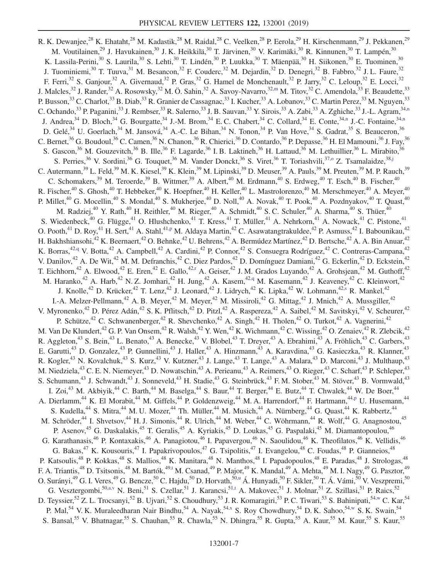<span id="page-6-9"></span><span id="page-6-8"></span><span id="page-6-7"></span><span id="page-6-6"></span><span id="page-6-5"></span><span id="page-6-4"></span><span id="page-6-3"></span><span id="page-6-2"></span><span id="page-6-1"></span><span id="page-6-0"></span>R. K. Dewanjee,<sup>28</sup> K. Ehataht,<sup>28</sup> M. Kadastik,<sup>28</sup> M. Raidal,<sup>28</sup> C. Veelken,<sup>28</sup> P. Eerola,<sup>29</sup> H. Kirschenmann,<sup>29</sup> J. Pekkanen,<sup>29</sup> M. Voutilainen,<sup>29</sup> J. Havukainen,<sup>30</sup> J. K. Heikkilä,<sup>30</sup> T. Järvinen,<sup>30</sup> V. Karimäki,<sup>30</sup> R. Kinnunen,<sup>30</sup> T. Lampén,<sup>30</sup> K. Lassila-Perini,<sup>30</sup> S. Laurila,<sup>30</sup> S. Lehti,<sup>30</sup> T. Lindén,<sup>30</sup> P. Luukka,<sup>30</sup> T. Mäenpää,<sup>30</sup> H. Siikonen,<sup>30</sup> E. Tuominen,<sup>30</sup> J. Tuominiemi,<sup>30</sup> T. Tuuva,<sup>31</sup> M. Besancon,<sup>32</sup> F. Couderc,<sup>32</sup> M. Dejardin,<sup>32</sup> D. Denegri,<sup>32</sup> B. Fabbro,<sup>32</sup> J. L. Faure,<sup>32</sup> F. Ferri,<sup>32</sup> S. Ganjour,<sup>32</sup> A. Givernaud,<sup>32</sup> P. Gras,<sup>32</sup> G. Hamel de Monchenault,<sup>32</sup> P. Jarry,<sup>32</sup> C. Leloup,<sup>32</sup> E. Locci,<sup>32</sup> J. Malcles,<sup>32</sup> J. Rander,<sup>32</sup> A. Rosowsky,<sup>32</sup> M. Ö. Sahin,<sup>32</sup> A. Savoy-Navarro,<sup>32[,m](#page-15-11)</sup> M. Titov,<sup>32</sup> C. Amendola,<sup>33</sup> F. Beaudette,<sup>33</sup> P. Busson,<sup>33</sup> C. Charlot,<sup>33</sup> B. Diab,<sup>33</sup> R. Granier de Cassagnac,<sup>33</sup> I. Kucher,<sup>33</sup> A. Lobanov,<sup>33</sup> C. Martin Perez,<sup>33</sup> M. Nguyen,<sup>33</sup> C. Ochando,<sup>33</sup> P. Paganini,<sup>33</sup> J. Rembser,<sup>33</sup> R. Salerno,<sup>33</sup> J. B. Sauvan,<sup>33</sup> Y. Sirois,<sup>33</sup> A. Zabi,<sup>33</sup> A. Zghiche,<sup>33</sup> J.-L. Agram,<sup>34[,n](#page-15-12)</sup> J. Andrea,  $34$  D. Bloch,  $34$  G. Bourgatte,  $34$  J.-M. Brom,  $34$  E. C. Chabert,  $34$  C. Collard,  $34$  E. Conte,  $34, n$  J.-C. Fontaine,  $34, n$ D. Gelé,<sup>34</sup> U. Goerlach,<sup>34</sup> M. Jansová,<sup>34</sup> A.-C. Le Bihan,<sup>34</sup> N. Tonon,<sup>34</sup> P. Van Hove,<sup>34</sup> S. Gadrat,<sup>35</sup> S. Beauceron,<sup>36</sup> C. Bernet,<sup>36</sup> G. Boudoul,<sup>36</sup> C. Camen,<sup>36</sup> N. Chanon,<sup>36</sup> R. Chierici,<sup>36</sup> D. Contardo,<sup>36</sup> P. Depasse,<sup>36</sup> H. El Mamouni,<sup>36</sup> J. Fay,<sup>36</sup> S. Gascon,<sup>36</sup> M. Gouzevitch,<sup>36</sup> B. Ille,<sup>36</sup> F. Lagarde,<sup>36</sup> I. B. Laktineh,<sup>36</sup> H. Lattaud,<sup>36</sup> M. Lethuillier,<sup>36</sup> L. Mirabito,<sup>3</sup> S. Perries,<sup>36</sup> V. Sordini,<sup>36</sup> G. Touquet,<sup>36</sup> M. Vander Donckt,<sup>36</sup> S. Viret,<sup>36</sup> T. Toriashvili,<sup>37,0</sup> Z. Tsamalaidze,<sup>3[8,j](#page-15-9)</sup> C. Autermann,  $39$  L. Feld,  $39$  M. K. Kiesel,  $39$  K. Klein,  $39$  M. Lipinski,  $39$  D. Meuser,  $39$  A. Pauls,  $39$  M. Preuten,  $39$  M. P. Rauch,  $39$ C. Schomakers,<sup>39</sup> M. Teroerde,<sup>39</sup> B. Wittmer,<sup>39</sup> A. Albert,<sup>40</sup> M. Erdmann,<sup>40</sup> S. Erdweg,<sup>40</sup> T. Esch,<sup>40</sup> B. Fischer,<sup>40</sup> R. Fischer,<sup>40</sup> S. Ghosh,<sup>40</sup> T. Hebbeker,<sup>40</sup> K. Hoepfner,<sup>40</sup> H. Keller,<sup>40</sup> L. Mastrolorenzo,<sup>40</sup> M. Merschmeyer,<sup>40</sup> A. Meyer,<sup>40</sup> P. Millet,<sup>40</sup> G. Mocellin,<sup>40</sup> S. Mondal,<sup>40</sup> S. Mukherjee,<sup>40</sup> D. Noll,<sup>40</sup> A. Novak,<sup>40</sup> T. Pook,<sup>40</sup> A. Pozdnyakov,<sup>40</sup> T. Quast,<sup>40</sup> M. Radziej,<sup>40</sup> Y. Rath,<sup>40</sup> H. Reithler,<sup>40</sup> M. Rieger,<sup>40</sup> A. Schmidt,<sup>40</sup> S. C. Schuler,<sup>40</sup> A. Sharma,<sup>40</sup> S. Thüer,<sup>40</sup> S. Wiedenbeck, $40$  G. Flügge, $41$  O. Hlushchenko, $41$  T. Kress, $41$  T. Müller, $41$  A. Nehrkorn, $41$  A. Nowack, $41$  C. Pistone, $41$ O. Pooth,<sup>41</sup> D. Roy,<sup>41</sup> H. Sert,<sup>41</sup> A. Stahl,<sup>41[,p](#page-15-14)</sup> M. Aldaya Martin,<sup>42</sup> C. Asawatangtrakuldee,<sup>42</sup> P. Asmuss,<sup>42</sup> I. Babounikau,<sup>42</sup> H. Bakhshiansohi,<sup>42</sup> K. Beernaert,<sup>42</sup> O. Behnke,<sup>42</sup> U. Behrens,<sup>42</sup> A. Bermúdez Martínez,<sup>42</sup> D. Bertsche,<sup>42</sup> A. A. Bin Anuar,<sup>42</sup> K. Borras,<sup>42[,q](#page-15-15)</sup> V. Botta,<sup>42</sup> A. Campbell,<sup>42</sup> A. Cardini,<sup>42</sup> P. Connor,<sup>42</sup> S. Consuegra Rodríguez,<sup>42</sup> C. Contreras-Campana,<sup>42</sup> V. Danilov,<sup>42</sup> A. De Wit,<sup>42</sup> M. M. Defranchis,<sup>42</sup> C. Diez Pardos,<sup>42</sup> D. Domínguez Damiani,<sup>42</sup> G. Eckerlin,<sup>42</sup> D. Eckstein,<sup>42</sup> T. Eichhorn,<sup>42</sup> A. Elwood,<sup>42</sup> E. Eren,<sup>42</sup> E. Gallo,<sup>4[2,r](#page-15-16)</sup> A. Geiser,<sup>42</sup> J. M. Grados Luyando,<sup>42</sup> A. Grohsjean,<sup>42</sup> M. Guthoff,<sup>42</sup> M. Haranko,<sup>42</sup> A. Harb,<sup>42</sup> N. Z. Jomhari,<sup>42</sup> H. Jung,<sup>42</sup> A. Kasem,<sup>4[2,q](#page-15-15)</sup> M. Kasemann,<sup>42</sup> J. Keaveney,<sup>42</sup> C. Kleinwort,<sup>42</sup> J. Knolle,<sup>42</sup> D. Krücker,<sup>42</sup> T. Lenz,<sup>42</sup> J. Leonard,<sup>42</sup> J. Lidrych,<sup>42</sup> K. Lipka,<sup>42</sup> W. Lohmann,<sup>42[,s](#page-15-17)</sup> R. Mankel,<sup>42</sup> I.-A. Melzer-Pellmann,<sup>42</sup> A. B. Meyer,<sup>42</sup> M. Meyer,<sup>42</sup> M. Missiroli,<sup>42</sup> G. Mittag,<sup>42</sup> J. Mnich,<sup>42</sup> A. Mussgiller,<sup>42</sup> V. Myronenko,<sup>42</sup> D. Pérez Adán,<sup>42</sup> S. K. Pflitsch,<sup>42</sup> D. Pitzl,<sup>42</sup> A. Raspereza,<sup>42</sup> A. Saibel,<sup>42</sup> M. Savitskyi,<sup>42</sup> V. Scheurer,<sup>42</sup> P. Schütze,<sup>42</sup> C. Schwanenberger,<sup>42</sup> R. Shevchenko,<sup>42</sup> A. Singh,<sup>42</sup> H. Tholen,<sup>42</sup> O. Turkot,<sup>42</sup> A. Vagnerini,<sup>42</sup> M. Van De Klundert,<sup>42</sup> G. P. Van Onsem,<sup>42</sup> R. Walsh,<sup>42</sup> Y. Wen,<sup>42</sup> K. Wichmann,<sup>42</sup> C. Wissing,<sup>42</sup> O. Zenaiev,<sup>42</sup> R. Zlebcik,<sup>42</sup> R. Aggleton,<sup>43</sup> S. Bein,<sup>43</sup> L. Benato,<sup>43</sup> A. Benecke,<sup>43</sup> V. Blobel,<sup>43</sup> T. Dreyer,<sup>43</sup> A. Ebrahimi,<sup>43</sup> A. Fröhlich,<sup>43</sup> C. Garbers,<sup>43</sup> E. Garutti,<sup>43</sup> D. Gonzalez,<sup>43</sup> P. Gunnellini,<sup>43</sup> J. Haller,<sup>43</sup> A. Hinzmann,<sup>43</sup> A. Karavdina,<sup>43</sup> G. Kasieczka,<sup>43</sup> R. Klanner,<sup>43</sup> R. Kogler,<sup>43</sup> N. Kovalchuk,<sup>43</sup> S. Kurz,<sup>43</sup> V. Kutzner,<sup>43</sup> J. Lange,<sup>43</sup> T. Lange,<sup>43</sup> A. Malara,<sup>43</sup> D. Marconi,<sup>43</sup> J. Multhaup,<sup>43</sup> M. Niedziela,<sup>43</sup> C. E. N. Niemeyer,<sup>43</sup> D. Nowatschin,<sup>43</sup> A. Perieanu,<sup>43</sup> A. Reimers,<sup>43</sup> O. Rieger,<sup>43</sup> C. Scharf,<sup>43</sup> P. Schleper,<sup>43</sup> S. Schumann,<sup>43</sup> J. Schwandt,<sup>43</sup> J. Sonneveld,<sup>43</sup> H. Stadie,<sup>43</sup> G. Steinbrück,<sup>43</sup> F. M. Stober,<sup>43</sup> M. Stöver,<sup>43</sup> B. Vormwald,<sup>43</sup> I. Zoi,<sup>43</sup> M. Akbiyik,<sup>44</sup> C. Barth,<sup>44</sup> M. Baselga,<sup>44</sup> S. Baur,<sup>44</sup> T. Berger,<sup>44</sup> E. Butz,<sup>44</sup> T. Chwalek,<sup>44</sup> W. De Boer,<sup>44</sup> A. Dierlamm,<sup>44</sup> K. El Morabit,<sup>44</sup> M. Giffels,<sup>44</sup> P. Goldenzweig,<sup>44</sup> M. A. Harrendorf,<sup>44</sup> F. Hartmann,<sup>4[4,p](#page-15-14)</sup> U. Husemann,<sup>44</sup> S. Kudella,<sup>44</sup> S. Mitra,<sup>44</sup> M. U. Mozer,<sup>44</sup> Th. Müller,<sup>44</sup> M. Musich,<sup>44</sup> A. Nürnberg,<sup>44</sup> G. Quast,<sup>44</sup> K. Rabbertz,<sup>44</sup> M. Schröder,<sup>44</sup> I. Shvetsov,<sup>44</sup> H. J. Simonis,<sup>44</sup> R. Ulrich,<sup>44</sup> M. Weber,<sup>44</sup> C. Wöhrmann,<sup>44</sup> R. Wolf,<sup>44</sup> G. Anagnostou,<sup>45</sup> P. Asenov,<sup>45</sup> G. Daskalakis,<sup>45</sup> T. Geralis,<sup>45</sup> A. Kyriakis,<sup>45</sup> D. Loukas,<sup>45</sup> G. Paspalaki,<sup>45</sup> M. Diamantopoulou,<sup>46</sup> G. Karathanasis,<sup>46</sup> P. Kontaxakis,<sup>46</sup> A. Panagiotou,<sup>46</sup> I. Papavergou,<sup>46</sup> N. Saoulidou,<sup>46</sup> K. Theofilatos,<sup>46</sup> K. Vellidis,<sup>46</sup> G. Bakas,<sup>47</sup> K. Kousouris,<sup>47</sup> I. Papakrivopoulos,<sup>47</sup> G. Tsipolitis,<sup>47</sup> I. Evangelou,<sup>48</sup> C. Foudas,<sup>48</sup> P. Gianneios,<sup>48</sup> P. Katsoulis,<sup>48</sup> P. Kokkas,<sup>48</sup> S. Mallios,<sup>48</sup> K. Manitara,<sup>48</sup> N. Manthos,<sup>48</sup> I. Papadopoulos,<sup>48</sup> E. Paradas,<sup>48</sup> J. Strologas,<sup>48</sup> F. A. Triantis,<sup>48</sup> D. Tsitsonis,<sup>48</sup> M. Bartók,<sup>49[,t](#page-15-18)</sup> M. Csanad,<sup>49</sup> P. Major,<sup>49</sup> K. Mandal,<sup>49</sup> A. Mehta,<sup>49</sup> M. I. Nagy,<sup>49</sup> G. Pasztor,<sup>49</sup> O. Surányi,<sup>49</sup> G. I. Veres,<sup>49</sup> G. Bencze,<sup>50</sup> C. Hajdu,<sup>50</sup> D. Horvath,<sup>5[0,u](#page-15-19)</sup> Á. Hunyadi,<sup>50</sup> F. Sikler,<sup>50</sup> T. Á. Vámi,<sup>50</sup> V. Veszpremi,<sup>50</sup> G. Vesztergombi,<sup>5[0,a,v](#page-15-0)</sup> N. Beni,<sup>51</sup> S. Czellar,<sup>51</sup> J. Karancsi,<sup>51[,t](#page-15-18)</sup> A. Makovec,<sup>51</sup> J. Molnar,<sup>51</sup> Z. Szillasi,<sup>51</sup> P. Raics,<sup>52</sup> D. Teyssier,<sup>52</sup> Z. L. Trocsanyi,<sup>52</sup> B. Ujvari,<sup>52</sup> S. Choudhury,<sup>53</sup> J. R. Komaragiri,<sup>53</sup> P. C. Tiwari,<sup>53</sup> S. Bahinipati,<sup>5[4,w](#page-15-20)</sup> C. Kar,<sup>54</sup> P. Mal,<sup>54</sup> V. K. Muraleedharan Nair Bindhu,<sup>54</sup> A. Nayak,<sup>5[4,x](#page-15-21)</sup> S. Roy Chowdhury,<sup>54</sup> D. K. Sahoo,<sup>5[4,w](#page-15-20)</sup> S. K. Swain,<sup>54</sup> S. Bansal,<sup>55</sup> V. Bhatnagar,<sup>55</sup> S. Chauhan,<sup>55</sup> R. Chawla,<sup>55</sup> N. Dhingra,<sup>55</sup> R. Gupta,<sup>55</sup> A. Kaur,<sup>55</sup> M. Kaur,<sup>55</sup> S. Kaur,<sup>55</sup>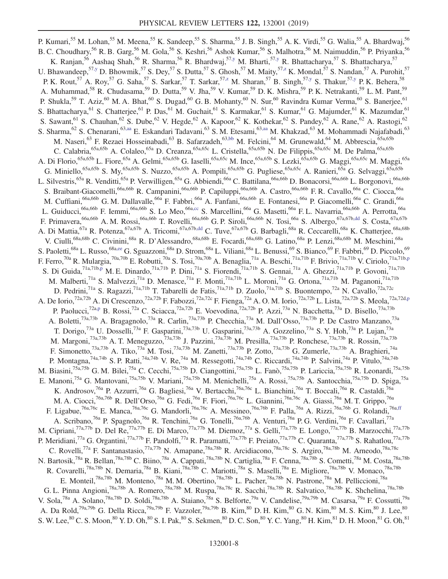<span id="page-7-6"></span><span id="page-7-5"></span><span id="page-7-4"></span><span id="page-7-3"></span><span id="page-7-2"></span><span id="page-7-1"></span><span id="page-7-0"></span>P. Kumari,<sup>55</sup> M. Lohan,<sup>55</sup> M. Meena,<sup>55</sup> K. Sandeep,<sup>55</sup> S. Sharma,<sup>55</sup> J. B. Singh,<sup>55</sup> A. K. Virdi,<sup>55</sup> G. Walia,<sup>55</sup> A. Bhardwaj,<sup>56</sup> B. C. Choudhary,<sup>56</sup> R. B. Garg,<sup>56</sup> M. Gola,<sup>56</sup> S. Keshri,<sup>56</sup> Ashok Kumar,<sup>56</sup> S. Malhotra,<sup>56</sup> M. Naimuddin,<sup>56</sup> P. Priyanka,<sup>56</sup> K. Ranjan,<sup>56</sup> Aashaq Shah,<sup>56</sup> R. Sharma,<sup>56</sup> R. Bhardwaj,<sup>57</sup>,y M. Bharti,<sup>57</sup>,y R. Bhattacharya,<sup>57</sup> S. Bhattacharya,<sup>57</sup> U. Bhawandeep,<sup>5[7,y](#page-15-22)</sup> D. Bhowmik,<sup>57</sup> S. Dey,<sup>57</sup> S. Dutta,<sup>57</sup> S. Ghosh,<sup>57</sup> M. Maity,<sup>57[,z](#page-15-23)</sup> K. Mondal,<sup>57</sup> S. Nandan,<sup>57</sup> A. Purohit,<sup>57</sup> P. K. Rout,<sup>57</sup> A. Roy,<sup>57</sup> G. Saha,<sup>57</sup> S. Sarkar,<sup>57</sup> T. Sarkar,<sup>57[,z](#page-15-23)</sup> M. Sharan,<sup>57</sup> B. Singh,<sup>5[7,y](#page-15-22)</sup> S. Thakur,<sup>57[,y](#page-15-22)</sup> P. K. Behera,<sup>58</sup> A. Muhammad,<sup>58</sup> R. Chudasama,<sup>59</sup> D. Dutta,<sup>59</sup> V. Jha,<sup>59</sup> V. Kumar,<sup>59</sup> D. K. Mishra,<sup>59</sup> P. K. Netrakanti,<sup>59</sup> L. M. Pant,<sup>59</sup> P. Shukla,<sup>59</sup> T. Aziz,<sup>60</sup> M. A. Bhat,<sup>60</sup> S. Dugad,<sup>60</sup> G. B. Mohanty,<sup>60</sup> N. Sur,<sup>60</sup> Ravindra Kumar Verma,<sup>60</sup> S. Banerjee,<sup>61</sup> S. Bhattacharya, <sup>61</sup> S. Chatterjee, <sup>61</sup> P. Das, <sup>61</sup> M. Guchait, <sup>61</sup> S. Karmakar, <sup>61</sup> S. Kumar, <sup>61</sup> G. Majumder, <sup>61</sup> K. Mazumdar, <sup>61</sup> S. Sawant, <sup>61</sup> S. Chauhan, <sup>62</sup> S. Dube, <sup>62</sup> V. Hegde, <sup>62</sup> A. Kapoor, <sup>62</sup> K. Kothekar, <sup>62</sup> S. Pandey, <sup>62</sup> A. Rane, <sup>62</sup> A. Rastogi, <sup>62</sup> S. Sharma,<sup>62</sup> S. Chenarani,<sup>63[,aa](#page-15-24)</sup> E. Eskandari Tadavani,<sup>63</sup> S. M. Etesami,<sup>6[3,aa](#page-15-24)</sup> M. Khakzad,<sup>63</sup> M. Mohammadi Najafabadi,<sup>63</sup> M. Naseri,<sup>63</sup> F. Rezaei Hosseinabadi,<sup>63</sup> B. Safarzadeh,<sup>63[,bb](#page-15-25)</sup> M. Felcini,<sup>64</sup> M. Grunewald,<sup>64</sup> M. Abbrescia,<sup>65a,65b</sup> C. Calabria,<sup>65a,65b</sup> A. Colaleo,<sup>65a</sup> D. Creanza,<sup>65a,65c</sup> L. Cristella,<sup>65a,65b</sup> N. De Filippis,<sup>65a,65c</sup> M. De Palma,<sup>65a,65b</sup> A. Di Florio,<sup>65a,65b</sup> L. Fiore,<sup>65a</sup> A. Gelmi,<sup>65a,65b</sup> G. Iaselli,<sup>65a,65c</sup> M. Ince,<sup>65a,65b</sup> S. Lezki,<sup>65a,65b</sup> G. Maggi,<sup>65a,65c</sup> M. Maggi,<sup>65a</sup> G. Miniello,<sup>65a,65b</sup> S. My,<sup>65a,65b</sup> S. Nuzzo,<sup>65a,65b</sup> A. Pompili,<sup>65a,65b</sup> G. Pugliese,<sup>65a,65c</sup> A. Ranieri,<sup>65a</sup> G. Selvaggi,<sup>65a,65b</sup> L. Silvestris,<sup>65a</sup> R. Venditti,<sup>65a</sup> P. Verwilligen,<sup>65a</sup> G. Abbiendi,<sup>66a</sup> C. Battilana,<sup>66a,66b</sup> D. Bonacorsi,<sup>66a,66b</sup> L. Borgonovi,<sup>66a,66b</sup> S. Braibant-Giacomelli,<sup>66a,66b</sup> R. Campanini,<sup>66a,66b</sup> P. Capiluppi,<sup>66a,66b</sup> A. Castro,<sup>66a,66b</sup> F. R. Cavallo,<sup>66a</sup> C. Ciocca,<sup>66a</sup> M. Cuffiani,<sup>66a,66b</sup> G. M. Dallavalle,<sup>66a</sup> F. Fabbri,<sup>66a</sup> A. Fanfani,<sup>66a,66b</sup> E. Fontanesi,<sup>66a</sup> P. Giacomelli,<sup>66a</sup> C. Grandi,<sup>66a</sup> L. Guiducci,<sup>66a,66b</sup> F. Iemmi,<sup>66a,66b</sup> S. Lo Meo,<sup>66a[,cc](#page-15-26)</sup> S. Marcellini,<sup>66a</sup> G. Masetti,<sup>66a</sup> F. L. Navarria,<sup>66a,66b</sup> A. Perrotta,<sup>66a</sup> F. Primavera, <sup>66a,66b</sup> A. M. Rossi, <sup>66a,66b</sup> T. Rovelli, <sup>66a,66b</sup> G. P. Siroli, <sup>66a,66b</sup> N. Tosi, <sup>66a</sup> S. Albergo, <sup>67a,67[b,dd](#page-15-27)</sup> S. Costa, <sup>67a,67b</sup> A. Di Mattia,<sup>67a</sup> R. Potenza,<sup>67a,67b</sup> A. Tricomi,<sup>67a,67[b,dd](#page-15-27)</sup> C. Tuve,<sup>67a,67b</sup> G. Barbagli,<sup>68a</sup> R. Ceccarelli,<sup>68a</sup> K. Chatterjee,<sup>68a,68b</sup> V. Ciulli,<sup>68a,68b</sup> C. Civinini,<sup>68a</sup> R. D'Alessandro,<sup>68a,68b</sup> E. Focardi,<sup>68a,68b</sup> G. Latino,<sup>68a</sup> P. Lenzi,<sup>68a,68b</sup> M. Meschini,<sup>68a</sup> S. Paoletti,<sup>68a</sup> L. Russo,<sup>68[a,ee](#page-15-28)</sup> G. Sguazzoni,<sup>68a</sup> D. Strom,<sup>68a</sup> L. Viliani,<sup>68a</sup> L. Benussi,<sup>69</sup> S. Bianco,<sup>69</sup> F. Fabbri,<sup>69</sup> D. Piccolo,<sup>69</sup> F. Ferro,<sup>70a</sup> R. Mulargia,<sup>70a,70b</sup> E. Robutti,<sup>70a</sup> S. Tosi,<sup>70a,70b</sup> A. Benaglia,<sup>71a</sup> A. Beschi,<sup>71a,71b</sup> F. Brivio,<sup>71a,71b</sup> V. Ciriolo,<sup>71a,71b[,p](#page-15-14)</sup> S. Di Guida,<sup>71a,71[b,p](#page-15-14)</sup> M. E. Dinardo,<sup>71a,71b</sup> P. Dini,<sup>71a</sup> S. Fiorendi,<sup>71a,71b</sup> S. Gennai,<sup>71a</sup> A. Ghezzi,<sup>71a,71b</sup> P. Govoni,<sup>71a,71b</sup> M. Malberti,<sup>71a</sup> S. Malvezzi,<sup>71a</sup> D. Menasce,<sup>71a</sup> F. Monti,<sup>71a,71b</sup> L. Moroni,<sup>71a</sup> G. Ortona,<sup>71a,71b</sup> M. Paganoni,<sup>71a,71b</sup> D. Pedrini,<sup>71a</sup> S. Ragazzi,<sup>71a,71b</sup> T. Tabarelli de Fatis,<sup>71a,71b</sup> D. Zuolo,<sup>71a,71b</sup> S. Buontempo,<sup>72a</sup> N. Cavallo,<sup>72a,72c</sup> A. De Iorio,<sup>72a,72b</sup> A. Di Crescenzo,<sup>72a,72b</sup> F. Fabozzi,<sup>72a,72c</sup> F. Fienga,<sup>72a</sup> A. O. M. Iorio,<sup>72a,72b</sup> L. Lista,<sup>72a,72b</sup> S. Meola,<sup>72a,72d[,p](#page-15-14)</sup> P. Paolucci,<sup>72a[,p](#page-15-14)</sup> B. Rossi,<sup>72a</sup> C. Sciacca,<sup>72a,72b</sup> E. Voevodina,<sup>72a,72b</sup> P. Azzi,<sup>73a</sup> N. Bacchetta,<sup>73a</sup> D. Bisello,<sup>73a,73b</sup> A. Boletti,<sup>73a,73b</sup> A. Bragagnolo,<sup>73a</sup> R. Carlin,<sup>73a,73b</sup> P. Checchia,<sup>73a</sup> M. Dall'Osso,<sup>73a,73b</sup> P. De Castro Manzano,<sup>73a</sup> T. Dorigo,<sup>73a</sup> U. Dosselli,<sup>73a</sup> F. Gasparini,<sup>73a,73b</sup> U. Gasparini,<sup>73a,73b</sup> A. Gozzelino,<sup>73a</sup> S. Y. Hoh,<sup>73a</sup> P. Lujan,<sup>73a</sup> M. Margoni,<sup>73a,73b</sup> A. T. Meneguzzo,<sup>73a,73b</sup> J. Pazzini,<sup>73a,73b</sup> M. Presilla,<sup>73a,73b</sup> P. Ronchese,<sup>73a,73b</sup> R. Rossin,<sup>73a,73b</sup> F. Simonetto,<sup>73a,73b</sup> A. Tiko,<sup>73a</sup> M. Tosi,<sup>73a,73b</sup> M. Zanetti,<sup>73a,73b</sup> P. Zotto,<sup>73a,73b</sup> G. Zumerle,<sup>73a,73b</sup> A. Braghieri,<sup>74a</sup> P. Montagna,<sup>74a,74b</sup> S. P. Ratti,<sup>74a,74b</sup> V. Re,<sup>74a</sup> M. Ressegotti,<sup>74a,74b</sup> C. Riccardi,<sup>74a,74b</sup> P. Salvini,<sup>74a</sup> P. Vitulo,<sup>74a,74b</sup> M. Biasini,<sup>75a,75b</sup> G. M. Bilei,<sup>75a</sup> C. Cecchi,<sup>75a,75b</sup> D. Ciangottini,<sup>75a,75b</sup> L. Fanò,<sup>75a,75b</sup> P. Lariccia,<sup>75a,75b</sup> R. Leonardi,<sup>75a,75b</sup> E. Manoni,<sup>75a</sup> G. Mantovani,<sup>75a,75b</sup> V. Mariani,<sup>75a,75b</sup> M. Menichelli,<sup>75a</sup> A. Rossi,<sup>75a,75b</sup> A. Santocchia,<sup>75a,75b</sup> D. Spiga,<sup>75a</sup> K. Androsov,<sup>76a</sup> P. Azzurri,<sup>76a</sup> G. Bagliesi,<sup>76a</sup> V. Bertacchi,<sup>76a,76c</sup> L. Bianchini,<sup>76a</sup> T. Boccali,<sup>76a</sup> R. Castaldi,<sup>76a</sup> M. A. Ciocci,<sup>76a,76b</sup> R. Dell'Orso,<sup>76a</sup> G. Fedi,<sup>76a</sup> F. Fiori,<sup>76a,76c</sup> L. Giannini,<sup>76a,76c</sup> A. Giassi,<sup>76a</sup> M. T. Grippo,<sup>76a</sup> F. Ligabue,<sup>76a,76c</sup> E. Manca,<sup>76a,76c</sup> G. Mandorli,<sup>76a,76c</sup> A. Messineo,<sup>76a,76b</sup> F. Palla,<sup>76a</sup> A. Rizzi,<sup>76a,76b</sup> G. Rolandi,<sup>76[a,ff](#page-15-29)</sup> A. Scribano,<sup>76a</sup> P. Spagnolo,<sup>76a</sup> R. Tenchini,<sup>76a</sup> G. Tonelli,<sup>76a,76b</sup> A. Venturi,<sup>76a</sup> P. G. Verdini,<sup>76a</sup> F. Cavallari,<sup>77a</sup> M. Cipriani,<sup>77a,77b</sup> D. Del Re,<sup>77a,77b</sup> E. Di Marco,<sup>77a,77b</sup> M. Diemoz,<sup>77a</sup> S. Gelli,<sup>77a,77b</sup> E. Longo,<sup>77a,77b</sup> B. Marzocchi,<sup>77a,77b</sup> P. Meridiani,<sup>77a</sup> G. Organtini,<sup>77a,77b</sup> F. Pandolfi,<sup>77a</sup> R. Paramatti,<sup>77a,77b</sup> F. Preiato,<sup>77a,77b</sup> C. Quaranta,<sup>77a,77b</sup> S. Rahatlou,<sup>77a,77b</sup> C. Rovelli,<sup>77a</sup> F. Santanastasio,<sup>77a,77b</sup> N. Amapane,<sup>78a,78b</sup> R. Arcidiacono,<sup>78a,78c</sup> S. Argiro,<sup>78a,78b</sup> M. Arneodo,<sup>78a,78c</sup> N. Bartosik,<sup>78a</sup> R. Bellan,<sup>78a,78b</sup> C. Biino,<sup>78a</sup> A. Cappati,<sup>78a,78b</sup> N. Cartiglia,<sup>78a</sup> F. Cenna,<sup>78a,78b</sup> S. Cometti,<sup>78a</sup> M. Costa,<sup>78a,78b</sup> R. Covarelli,<sup>78a,78b</sup> N. Demaria,<sup>78a</sup> B. Kiani,<sup>78a,78b</sup> C. Mariotti,<sup>78a</sup> S. Maselli,<sup>78a</sup> E. Migliore,<sup>78a,78b</sup> V. Monaco,<sup>78a,78b</sup> E. Monteil,<sup>78a,78b</sup> M. Monteno,<sup>78a</sup> M. M. Obertino,<sup>78a,78b</sup> L. Pacher,<sup>78a,78b</sup> N. Pastrone,<sup>78a</sup> M. Pelliccioni,<sup>78a</sup> G. L. Pinna Angioni,<sup>78a,78b</sup> A. Romero,<sup>78a,78b</sup> M. Ruspa,<sup>78a,78c</sup> R. Sacchi,<sup>78a,78b</sup> R. Salvatico,<sup>78a,78b</sup> K. Shchelina,<sup>78a,78b</sup> V. Sola,<sup>78a</sup> A. Solano,<sup>78a,78b</sup> D. Soldi,<sup>78a,78b</sup> A. Staiano,<sup>78a</sup> S. Belforte,<sup>79a</sup> V. Candelise,<sup>79a,79b</sup> M. Casarsa,<sup>79a</sup> F. Cossutti,<sup>79a</sup> A. Da Rold,<sup>79a,79b</sup> G. Della Ricca,<sup>79a,79b</sup> F. Vazzoler,<sup>79a,79b</sup> B. Kim,<sup>80</sup> D. H. Kim,<sup>80</sup> G. N. Kim,<sup>80</sup> M. S. Kim,<sup>80</sup> J. Lee,<sup>80</sup> S. W. Lee,  ${}^{80}$  C. S. Moon,  ${}^{80}$  Y. D. Oh,  ${}^{80}$  S. I. Pak,  ${}^{80}$  S. Sekmen,  ${}^{80}$  D. C. Son,  ${}^{80}$  Y. C. Yang,  ${}^{80}$  H. Kim,  ${}^{81}$  D. H. Moon,  ${}^{81}$  G. Oh,  ${}^{81}$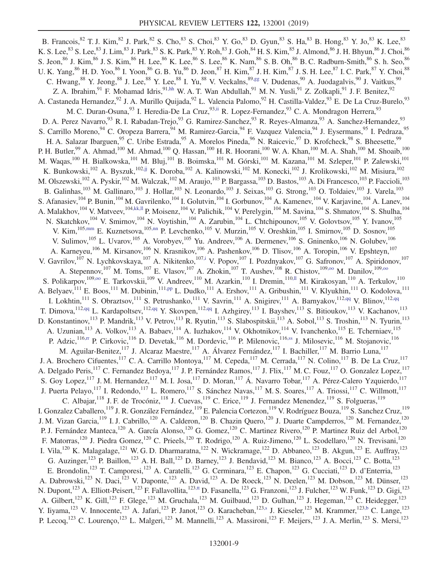<span id="page-8-10"></span><span id="page-8-9"></span><span id="page-8-8"></span><span id="page-8-7"></span><span id="page-8-6"></span><span id="page-8-5"></span><span id="page-8-4"></span><span id="page-8-3"></span><span id="page-8-2"></span><span id="page-8-1"></span><span id="page-8-0"></span>B. Francois,  $82$  T. J. Kim,  $82$  J. Park,  $82$  S. Cho,  $83$  S. Choi,  $83$  Y. Go,  $83$  D. Gyun,  $83$  S. Ha,  $83$  B. Hong,  $83$  Y. Jo,  $83$  K. Lee,  $83$ K. S. Lee,  $^{83}$  S. Lee,  $^{83}$  J. Lim,  $^{83}$  J. Park,  $^{83}$  S. K. Park,  $^{83}$  Y. Roh,  $^{83}$  J. Goh,  $^{84}$  H. S. Kim,  $^{85}$  J. Almond,  $^{86}$  J. H. Bhyun,  $^{86}$  J. Choi,  $^{86}$ S. Jeon,  $86$  J. Kim,  $86$  J. S. Kim,  $86$  H. Lee,  $86$  K. Lee,  $86$  K. Nam,  $86$  S. B. Oh,  $86$  B. C. Radburn-Smith,  $86$  S. h. Seo,  $86$  S. Jeon,  $86$  J. Kim,  $86$  J. S. Kim,  $86$  H. Lee,  $86$  K. Lee,  $86$  S. Lee,  $86$  U. K. Yang, <sup>86</sup> H. D. Yoo, <sup>86</sup> I. Yoon, <sup>86</sup> G. B. Yu, <sup>86</sup> D. Jeon, <sup>87</sup> H. Kim, <sup>87</sup> J. H. Kim, <sup>87</sup> J. S. H. Lee, <sup>87</sup> I. C. Park, <sup>87</sup> Y. Choi, <sup>88</sup> C. Hwang,<sup>88</sup> Y. Jeong,<sup>88</sup> J. Lee,<sup>88</sup> Y. Lee,<sup>88</sup> I. Yu,<sup>88</sup> V. Veckalns,<sup>89[,gg](#page-15-30)</sup> V. Dudenas,<sup>90</sup> A. Juodagalvis,<sup>90</sup> J. Vaitkus,<sup>90</sup> Z. A. Ibrahim, <sup>91</sup> F. Mohamad Idris, <sup>9[1,hh](#page-15-31)</sup> W. A. T. Wan Abdullah, <sup>91</sup> M. N. Yusli, <sup>91</sup> Z. Zolkapli, <sup>91</sup> J. F. Benitez, <sup>92</sup> A. Castaneda Hernandez,<sup>92</sup> J. A. Murillo Quijada,<sup>92</sup> L. Valencia Palomo,<sup>92</sup> H. Castilla-Valdez,<sup>93</sup> E. De La Cruz-Burelo,<sup>93</sup> M. C. Duran-Osuna,<sup>93</sup> I. Heredia-De La Cruz,<sup>93[,ii](#page-15-32)</sup> R. Lopez-Fernandez,<sup>93</sup> C. A. Mondragon Herrera,<sup>93</sup> D. A. Perez Navarro, <sup>93</sup> R. I. Rabadan-Trejo, <sup>93</sup> G. Ramirez-Sanchez, <sup>93</sup> R. Reyes-Almanza, <sup>93</sup> A. Sanchez-Hernandez, <sup>93</sup> S. Carrillo Moreno, <sup>94</sup> C. Oropeza Barrera, <sup>94</sup> M. Ramirez-Garcia, <sup>94</sup> F. Vazquez Valencia, <sup>94</sup> J. Eysermans, <sup>95</sup> I. Pedraza, <sup>95</sup> H. A. Salazar Ibarguen, <sup>95</sup> C. Uribe Estrada, <sup>95</sup> A. Morelos Pineda, <sup>96</sup> N. Raicevic, <sup>97</sup> D. Krofcheck, <sup>98</sup> S. Bheesette, <sup>99</sup> P. H. Butler,<sup>99</sup> A. Ahmad,<sup>100</sup> M. Ahmad,<sup>100</sup> Q. Hassan,<sup>100</sup> H. R. Hoorani,<sup>100</sup> W. A. Khan,<sup>100</sup> M. A. Shah,<sup>100</sup> M. Shoaib,<sup>100</sup> M. Waqas,<sup>100</sup> H. Bialkowska,<sup>101</sup> M. Bluj,<sup>101</sup> B. Boimska,<sup>101</sup> M. Górski,<sup>101</sup> M. Kazana,<sup>101</sup> M. Szleper,<sup>101</sup> P. Zalewski,<sup>101</sup> K. Bunkowski,<sup>102</sup> A. Byszuk,<sup>102</sup>[,jj](#page-15-33) K. Doroba,<sup>102</sup> A. Kalinowski,<sup>102</sup> M. Konecki,<sup>102</sup> J. Krolikowski,<sup>102</sup> M. Misiura,<sup>102</sup> M. Olszewski, <sup>102</sup> A. Pyskir, <sup>102</sup> M. Walczak, <sup>102</sup> M. Araujo, <sup>103</sup> P. Bargassa, <sup>103</sup> D. Bastos, <sup>103</sup> A. Di Francesco, <sup>103</sup> P. Faccioli, <sup>103</sup> B. Galinhas,<sup>103</sup> M. Gallinaro,<sup>103</sup> J. Hollar,<sup>103</sup> N. Leonardo,<sup>103</sup> J. Seixas,<sup>103</sup> G. Strong,<sup>103</sup> O. Toldaiev,<sup>103</sup> J. Varela,<sup>103</sup> S. Afanasiev,<sup>104</sup> P. Bunin,<sup>104</sup> M. Gavrilenko,<sup>104</sup> I. Golutvin,<sup>104</sup> I. Gorbunov,<sup>104</sup> A. Kamenev,<sup>104</sup> V. Karjavine,<sup>104</sup> A. Lanev,<sup>104</sup> A. Malakhov,<sup>104</sup> V. Matveev,<sup>10[4,kk,ll](#page-15-34)</sup> P. Moisenz,<sup>104</sup> V. Palichik,<sup>104</sup> V. Perelygin,<sup>104</sup> M. Savina,<sup>104</sup> S. Shmatov,<sup>104</sup> S. Shulha,<sup>104</sup> N. Skatchkov,<sup>104</sup> V. Smirnov,<sup>104</sup> N. Voytishin,<sup>104</sup> A. Zarubin,<sup>104</sup> L. Chtchipounov,<sup>105</sup> V. Golovtsov,<sup>105</sup> Y. Ivanov,<sup>105</sup> V. Kim,  $^{105,mm}$  $^{105,mm}$  $^{105,mm}$  E. Kuznetsova,  $^{105,nn}$  $^{105,nn}$  $^{105,nn}$  P. Levchenko,  $^{105}$  V. Murzin,  $^{105}$  V. Oreshkin,  $^{105}$  I. Smirnov,  $^{105}$  D. Sosnov,  $^{105}$ V. Sulimov, <sup>105</sup> L. Uvarov, <sup>105</sup> A. Vorobyev, <sup>105</sup> Yu. Andreev, <sup>106</sup> A. Dermenev, <sup>106</sup> S. Gninenko, <sup>106</sup> N. Golubev, <sup>106</sup> A. Karneyeu,<sup>106</sup> M. Kirsanov,<sup>106</sup> N. Krasnikov,<sup>106</sup> A. Pashenkov,<sup>106</sup> D. Tlisov,<sup>106</sup> A. Toropin,<sup>106</sup> V. Epshteyn,<sup>107</sup> V. Gavrilov,<sup>107</sup> N. Lychkovskaya,<sup>107</sup> A. Nikitenko,<sup>10[7,i](#page-15-8)</sup> V. Popov,<sup>107</sup> I. Pozdnyakov,<sup>107</sup> G. Safronov,<sup>107</sup> A. Spiridonov,<sup>107</sup> A. Stepennov,<sup>107</sup> M. Toms,<sup>107</sup> E. Vlasov,<sup>107</sup> A. Zhokin,<sup>107</sup> T. Aushev,<sup>108</sup> R. Chistov,<sup>109,00</sup> M. Danilov,<sup>109,00</sup> S. Polikarpov,<sup>109,00</sup> E. Tarkovskii,<sup>109</sup> V. Andreev,<sup>110</sup> M. Azarkin,<sup>110</sup> I. Dremin,<sup>110,11</sup> M. Kirakosyan,<sup>110</sup> A. Terkulov,<sup>110</sup> A. Belyaev,<sup>111</sup> E. Boos,<sup>111</sup> M. Dubinin,<sup>11[1,pp](#page-15-39)</sup> L. Dudko,<sup>111</sup> A. Ershov,<sup>111</sup> A. Gribushin,<sup>111</sup> V. Klyukhin,<sup>111</sup> O. Kodolova,<sup>111</sup> I. Lokhtin,<sup>111</sup> S. Obraztsov,<sup>111</sup> S. Petrushanko,<sup>111</sup> V. Savrin,<sup>111</sup> A. Snigirev,<sup>111</sup> A. Barnyakov,<sup>112[,qq](#page-15-40)</sup> V. Blinov,<sup>112,qq</sup> T. Dimova, <sup>11[2,qq](#page-15-40)</sup> L. Kardapoltsev, <sup>112,qq</sup> Y. Skovpen, <sup>112,qq</sup> I. Azhgirey, <sup>113</sup> I. Bayshev, <sup>113</sup> S. Bitioukov, <sup>113</sup> V. Kachanov, <sup>113</sup> D. Konstantinov,<sup>113</sup> P. Mandrik,<sup>113</sup> V. Petrov,<sup>113</sup> R. Ryutin,<sup>113</sup> S. Slabospitskii,<sup>113</sup> A. Sobol,<sup>113</sup> S. Troshin,<sup>113</sup> N. Tyurin,<sup>113</sup> A. Uzunian,<sup>113</sup> A. Volkov,<sup>113</sup> A. Babaev,<sup>114</sup> A. Iuzhakov,<sup>114</sup> V. Okhotnikov,<sup>114</sup> V. Ivanchenko,<sup>115</sup> E. Tcherniaev,<sup>115</sup> P. Adzic,<sup>116[,rr](#page-15-41)</sup> P. Cirkovic,<sup>116</sup> D. Devetak,<sup>116</sup> M. Dordevic,<sup>116</sup> P. Milenovic,<sup>116[,ss](#page-15-42)</sup> J. Milosevic,<sup>116</sup> M. Stojanovic,<sup>116</sup> M. Aguilar-Benitez,<sup>117</sup> J. Alcaraz Maestre,<sup>117</sup> A. Álvarez Fernández,<sup>117</sup> I. Bachiller,<sup>117</sup> M. Barrio Luna,<sup>117</sup> J. A. Brochero Cifuentes,<sup>117</sup> C. A. Carrillo Montoya,<sup>117</sup> M. Cepeda,<sup>117</sup> M. Cerrada,<sup>117</sup> N. Colino,<sup>117</sup> B. De La Cruz,<sup>117</sup> A. Delgado Peris,<sup>117</sup> C. Fernandez Bedoya,<sup>117</sup> J. P. Fernández Ramos,<sup>117</sup> J. Flix,<sup>117</sup> M. C. Fouz,<sup>117</sup> O. Gonzalez Lopez,<sup>117</sup> S. Goy Lopez,<sup>117</sup> J. M. Hernandez,<sup>117</sup> M. I. Josa,<sup>117</sup> D. Moran,<sup>117</sup> Á. Navarro Tobar,<sup>117</sup> A. Pérez-Calero Yzquierdo,<sup>117</sup> J. Puerta Pelayo,<sup>117</sup> I. Redondo,<sup>117</sup> L. Romero,<sup>117</sup> S. Sánchez Navas,<sup>117</sup> M. S. Soares,<sup>117</sup> A. Triossi,<sup>117</sup> C. Willmott,<sup>117</sup> C. Albajar,  $118$  J. F. de Trocóniz,  $118$  J. Cuevas,  $119$  C. Erice,  $119$  J. Fernandez Menendez,  $119$  S. Folgueras,  $119$ I. Gonzalez Caballero,<sup>119</sup> J. R. González Fernández,<sup>119</sup> E. Palencia Cortezon,<sup>119</sup> V. Rodríguez Bouza,<sup>119</sup> S. Sanchez Cruz,<sup>119</sup> J. M. Vizan Garcia,<sup>119</sup> I. J. Cabrillo,<sup>120</sup> A. Calderon,<sup>120</sup> B. Chazin Quero,<sup>120</sup> J. Duarte Campderros,<sup>120</sup> M. Fernandez,<sup>120</sup> P. J. Fernández Manteca,<sup>120</sup> A. García Alonso,<sup>120</sup> G. Gomez,<sup>120</sup> C. Martinez Rivero,<sup>120</sup> P. Martinez Ruiz del Arbol,<sup>120</sup> F. Matorras,<sup>120</sup> J. Piedra Gomez,<sup>120</sup> C. Prieels,<sup>120</sup> T. Rodrigo,<sup>120</sup> A. Ruiz-Jimeno,<sup>120</sup> L. Scodellaro,<sup>120</sup> N. Trevisani,<sup>120</sup> I. Vila,<sup>120</sup> K. Malagalage,<sup>121</sup> W. G. D. Dharmaratna,<sup>122</sup> N. Wickramage,<sup>122</sup> D. Abbaneo,<sup>123</sup> B. Akgun,<sup>123</sup> E. Auffray,<sup>123</sup> G. Auzinger,<sup>123</sup> P. Baillon,<sup>123</sup> A. H. Ball,<sup>123</sup> D. Barney,<sup>123</sup> J. Bendavid,<sup>123</sup> M. Bianco,<sup>123</sup> A. Bocci,<sup>123</sup> C. Botta,<sup>123</sup> E. Brondolin,<sup>123</sup> T. Camporesi,<sup>123</sup> A. Caratelli,<sup>123</sup> G. Cerminara,<sup>123</sup> E. Chapon,<sup>123</sup> G. Cucciati,<sup>123</sup> D. d'Enterria,<sup>123</sup> A. Dabrowski,<sup>123</sup> N. Daci,<sup>123</sup> V. Daponte,<sup>123</sup> A. David,<sup>123</sup> A. De Roeck,<sup>123</sup> N. Deelen,<sup>123</sup> M. Dobson,<sup>123</sup> M. Dünser,<sup>123</sup> N. Dupont,<sup>123</sup> A. Elliott-Peisert,<sup>123</sup> F. Fallavollita,<sup>12[3,tt](#page-15-43)</sup> D. Fasanella,<sup>123</sup> G. Franzoni,<sup>123</sup> J. Fulcher,<sup>123</sup> W. Funk,<sup>123</sup> D. Gigi,<sup>123</sup> A. Gilbert,<sup>123</sup> K. Gill,<sup>123</sup> F. Glege,<sup>123</sup> M. Gruchala,<sup>123</sup> M. Guilbaud,<sup>123</sup> D. Gulhan,<sup>123</sup> J. Hegeman,<sup>123</sup> C. Heidegger,<sup>123</sup> Y. Iiyama,<sup>123</sup> V. Innocente,<sup>123</sup> A. Jafari,<sup>123</sup> P. Janot,<sup>123</sup> O. Karacheban,<sup>123[,s](#page-15-17)</sup> J. Kieseler,<sup>123</sup> M. Krammer,<sup>12[3,b](#page-15-1)</sup> C. Lange,<sup>123</sup> P. Lecoq,<sup>123</sup> C. Lourenco,<sup>123</sup> L. Malgeri,<sup>123</sup> M. Mannelli,<sup>123</sup> A. Massironi,<sup>123</sup> F. Meijers,<sup>123</sup> J. A. Merlin,<sup>123</sup> S. Mersi,<sup>123</sup>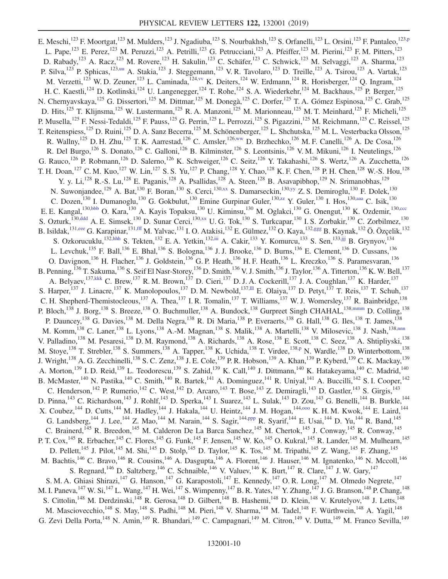<span id="page-9-14"></span><span id="page-9-13"></span><span id="page-9-12"></span><span id="page-9-11"></span><span id="page-9-10"></span><span id="page-9-9"></span><span id="page-9-8"></span><span id="page-9-7"></span><span id="page-9-6"></span><span id="page-9-5"></span><span id="page-9-4"></span><span id="page-9-3"></span><span id="page-9-2"></span><span id="page-9-1"></span><span id="page-9-0"></span>E. Meschi,<sup>123</sup> F. Moortgat,<sup>123</sup> M. Mulders,<sup>123</sup> J. Ngadiuba,<sup>123</sup> S. Nourbakhsh,<sup>123</sup> S. Orfanelli,<sup>123</sup> L. Orsini,<sup>123</sup> F. Pantaleo,<sup>123[,p](#page-15-14)</sup> L. Pape,<sup>123</sup> E. Perez,<sup>123</sup> M. Peruzzi,<sup>123</sup> A. Petrilli,<sup>123</sup> G. Petrucciani,<sup>123</sup> A. Pfeiffer,<sup>123</sup> M. Pierini,<sup>123</sup> F.M. Pitters,<sup>123</sup> D. Rabady,<sup>123</sup> A. Racz,<sup>123</sup> M. Rovere,<sup>123</sup> H. Sakulin,<sup>123</sup> C. Schäfer,<sup>123</sup> C. Schwick,<sup>123</sup> M. Selvaggi,<sup>123</sup> A. Sharma,<sup>123</sup> P. Silva,<sup>123</sup> P. Sphicas,<sup>12[3,uu](#page-15-44)</sup> A. Stakia,<sup>123</sup> J. Steggemann,<sup>123</sup> V. R. Tavolaro,<sup>123</sup> D. Treille,<sup>123</sup> A. Tsirou,<sup>123</sup> A. Vartak,<sup>123</sup> M. Verzetti,<sup>123</sup> W. D. Zeuner,<sup>123</sup> L. Caminada,<sup>12[4,vv](#page-15-45)</sup> K. Deiters,<sup>124</sup> W. Erdmann,<sup>124</sup> R. Horisberger,<sup>124</sup> Q. Ingram,<sup>124</sup> H. C. Kaestli,<sup>124</sup> D. Kotlinski,<sup>124</sup> U. Langenegger,<sup>124</sup> T. Rohe,<sup>124</sup> S. A. Wiederkehr,<sup>124</sup> M. Backhaus,<sup>125</sup> P. Berger,<sup>125</sup> N. Chernyavskaya, <sup>125</sup> G. Dissertori, <sup>125</sup> M. Dittmar, <sup>125</sup> M. Donegà, <sup>125</sup> C. Dorfer, <sup>125</sup> T. A. Gómez Espinosa, <sup>125</sup> C. Grab, <sup>125</sup> D. Hits,<sup>125</sup> T. Klijnsma,<sup>125</sup> W. Lustermann,<sup>125</sup> R. A. Manzoni,<sup>125</sup> M. Marionneau,<sup>125</sup> M. T. Meinhard,<sup>125</sup> F. Micheli,<sup>125</sup> P. Musella,<sup>125</sup> F. Nessi-Tedaldi,<sup>125</sup> F. Pauss,<sup>125</sup> G. Perrin,<sup>125</sup> L. Perrozzi,<sup>125</sup> S. Pigazzini,<sup>125</sup> M. Reichmann,<sup>125</sup> C. Reissel,<sup>125</sup> T. Reitenspiess,<sup>125</sup> D. Ruini,<sup>125</sup> D. A. Sanz Becerra,<sup>125</sup> M. Schönenberger,<sup>125</sup> L. Shchutska,<sup>125</sup> M. L. Vesterbacka Olsson,<sup>125</sup> R. Wallny,<sup>125</sup> D. H. Zhu,<sup>125</sup> T. K. Aarrestad,<sup>126</sup> C. Amsler,<sup>126[,ww](#page-15-46)</sup> D. Brzhechko,<sup>126</sup> M. F. Canelli,<sup>126</sup> A. De Cosa,<sup>126</sup> R. Del Burgo,<sup>126</sup> S. Donato,<sup>126</sup> C. Galloni,<sup>126</sup> B. Kilminster,<sup>126</sup> S. Leontsinis,<sup>126</sup> V. M. Mikuni,<sup>126</sup> I. Neutelings,<sup>126</sup> G. Rauco,<sup>126</sup> P. Robmann,<sup>126</sup> D. Salerno,<sup>126</sup> K. Schweiger,<sup>126</sup> C. Seitz,<sup>126</sup> Y. Takahashi,<sup>126</sup> S. Wertz,<sup>126</sup> A. Zucchetta,<sup>126</sup> T. H. Doan,<sup>127</sup> C. M. Kuo,<sup>127</sup> W. Lin,<sup>127</sup> S. S. Yu,<sup>127</sup> P. Chang,<sup>128</sup> Y. Chao,<sup>128</sup> K. F. Chen,<sup>128</sup> P. H. Chen,<sup>128</sup> W.-S. Hou,<sup>128</sup> Y. y. Li,<sup>128</sup> R.-S. Lu,<sup>128</sup> E. Paganis,<sup>128</sup> A. Psallidas,<sup>128</sup> A. Steen,<sup>128</sup> B. Asavapibhop,<sup>129</sup> N. Srimanobhas,<sup>129</sup> N. Suwonjandee,<sup>129</sup> A. Bat,<sup>130</sup> F. Boran,<sup>130</sup> S. Cerci,<sup>130[,xx](#page-15-47)</sup> S. Damarseckin,<sup>13[0,yy](#page-15-48)</sup> Z. S. Demiroglu,<sup>130</sup> F. Dolek,<sup>130</sup> C. Dozen,<sup>130</sup> I. Dumanoglu,<sup>130</sup> G. Gokbulut,<sup>130</sup> Emine Gurpinar Guler,<sup>13[0,zz](#page-15-49)</sup> Y. Guler,<sup>130</sup> I. Hos,<sup>130[,aaa](#page-15-50)</sup> C. Isik,<sup>130</sup> E. E. Kangal,<sup>130[,bbb](#page-16-0)</sup> O. Kara,<sup>130</sup> A. Kayis Topaksu,<sup>130</sup> U. Kiminsu,<sup>130</sup> M. Oglakci,<sup>130</sup> G. Onengut,<sup>130</sup> K. Ozdemir,<sup>13[0,ccc](#page-16-1)</sup> S. Ozturk,<sup>130[,ddd](#page-16-2)</sup> A. E. Simsek,<sup>130</sup> D. Sunar Cerci,<sup>13[0,xx](#page-15-47)</sup> U. G. Tok,<sup>130</sup> S. Turkcapar,<sup>130</sup> I. S. Zorbakir,<sup>130</sup> C. Zorbilmez,<sup>130</sup> B. Isildak,<sup>13[1,eee](#page-16-3)</sup> G. Karapinar,<sup>13[1,fff](#page-16-4)</sup> M. Yalvac,<sup>131</sup> I. O. Atakisi,<sup>132</sup> E. Gülmez,<sup>132</sup> O. Kaya,<sup>13[2,ggg](#page-16-5)</sup> B. Kaynak,<sup>132</sup> Ö. Özçelik,<sup>132</sup> S. Ozkorucuklu,<sup>132[,hhh](#page-16-6)</sup> S. Tekten,<sup>132</sup> E. A. Yetkin,<sup>13[2,iii](#page-16-7)</sup> A. Cakir,<sup>133</sup> Y. Komurcu,<sup>133</sup> S. Sen,<sup>13[3,jjj](#page-16-8)</sup> B. Grynyov,<sup>134</sup> L. Levchuk,<sup>135</sup> F. Ball,<sup>136</sup> E. Bhal,<sup>136</sup> S. Bologna,<sup>136</sup> J. J. Brooke,<sup>136</sup> D. Burns,<sup>136</sup> E. Clement,<sup>136</sup> D. Cussans,<sup>136</sup> O. Davignon,<sup>136</sup> H. Flacher,<sup>136</sup> J. Goldstein,<sup>136</sup> G. P. Heath,<sup>136</sup> H. F. Heath,<sup>136</sup> L. Kreczko,<sup>136</sup> S. Paramesvaran,<sup>136</sup> B. Penning,  $^{136}$  T. Sakuma,  $^{136}$  S. Seif El Nasr-Storey,  $^{136}$  D. Smith,  $^{136}$  V. J. Smith,  $^{136}$  J. Taylor,  $^{136}$  A. Titterton,  $^{136}$  K. W. Bell,  $^{137}$ A. Belyaev,  $^{137, kkk}$  C. Brew,  $^{137}$  R. M. Brown,  $^{137}$  D. Cieri,  $^{137}$  D. J. A. Cockerill,  $^{137}$  J. A. Coughlan,  $^{137}$  K. Harder,  $^{137}$ S. Harper,<sup>137</sup> J. Linacre,<sup>137</sup> K. Manolopoulos,<sup>137</sup> D. M. Newbold,<sup>137,111</sup> E. Olaiya,<sup>137</sup> D. Petyt,<sup>137</sup> T. Reis,<sup>137</sup> T. Schuh,<sup>137</sup> C. H. Shepherd-Themistocleous,<sup>137</sup> A. Thea,<sup>137</sup> I. R. Tomalin,<sup>137</sup> T. Williams,<sup>137</sup> W. J. Womersley,<sup>137</sup> R. Bainbridge,<sup>138</sup> P. Bloch,<sup>138</sup> J. Borg,<sup>138</sup> S. Breeze,<sup>138</sup> O. Buchmuller,<sup>138</sup> A. Bundock,<sup>138</sup> Gurpreet Singh CHAHAL,<sup>13[8,mmm](#page-16-11)</sup> D. Colling,<sup>138</sup> P. Dauncey,<sup>138</sup> G. Davies,<sup>138</sup> M. Della Negra,<sup>138</sup> R. Di Maria,<sup>138</sup> P. Everaerts,<sup>138</sup> G. Hall,<sup>138</sup> G. Iles,<sup>138</sup> T. James,<sup>138</sup> M. Komm,<sup>138</sup> C. Laner,<sup>138</sup> L. Lyons,<sup>138</sup> A.-M. Magnan,<sup>138</sup> S. Malik,<sup>138</sup> A. Martelli,<sup>138</sup> V. Milosevic,<sup>138</sup> J. Nash,<sup>138[,nnn](#page-16-12)</sup> V. Palladino,<sup>138</sup> M. Pesaresi,<sup>138</sup> D. M. Raymond,<sup>138</sup> A. Richards,<sup>138</sup> A. Rose,<sup>138</sup> E. Scott,<sup>138</sup> C. Seez,<sup>138</sup> A. Shtipliyski,<sup>138</sup> M. Stoye,<sup>138</sup> T. Strebler,<sup>138</sup> S. Summers,<sup>138</sup> A. Tapper,<sup>138</sup> K. Uchida,<sup>138</sup> T. Virdee,<sup>138[,p](#page-15-14)</sup> N. Wardle,<sup>138</sup> D. Winterbottom,<sup>138</sup> J. Wright,<sup>138</sup> A. G. Zecchinelli,<sup>138</sup> S. C. Zenz,<sup>138</sup> J. E. Cole,<sup>139</sup> P. R. Hobson,<sup>139</sup> A. Khan,<sup>139</sup> P. Kyberd,<sup>139</sup> C. K. Mackay,<sup>139</sup> A. Morton, 139 I. D. Reid, 139 L. Teodorescu, 139 S. Zahid, 139 K. Call, <sup>140</sup> J. Dittmann, <sup>140</sup> K. Hatakeyama, <sup>140</sup> C. Madrid, <sup>140</sup> B. McMaster,<sup>140</sup> N. Pastika,<sup>140</sup> C. Smith,<sup>140</sup> R. Bartek,<sup>141</sup> A. Dominguez,<sup>141</sup> R. Uniyal,<sup>141</sup> A. Buccilli,<sup>142</sup> S. I. Cooper,<sup>142</sup> C. Henderson,<sup>142</sup> P. Rumerio,<sup>142</sup> C. West,<sup>142</sup> D. Arcaro,<sup>143</sup> T. Bose,<sup>143</sup> Z. Demiragli,<sup>143</sup> D. Gastler,<sup>143</sup> S. Girgis,<sup>143</sup> D. Pinna, <sup>143</sup> C. Richardson, <sup>143</sup> J. Rohlf, <sup>143</sup> D. Sperka, <sup>143</sup> I. Suarez, <sup>143</sup> L. Sulak, <sup>143</sup> D. Zou, <sup>143</sup> G. Benelli, <sup>144</sup> B. Burkle, <sup>144</sup> X. Coubez, <sup>144</sup> D. Cutts, <sup>144</sup> M. Hadley, <sup>144</sup> J. Hakala, <sup>144</sup> U. Heintz, <sup>144</sup> J. M. Hogan, <sup>144,000</sup> K. H. M. Kwok, <sup>144</sup> E. Laird, <sup>144</sup> G. Landsberg, <sup>144</sup> J. Lee, <sup>144</sup> Z. Mao, <sup>144</sup> M. Narain, <sup>144</sup> S. Sagir, <sup>14[4,ppp](#page-16-14)</sup> R. Syarif, <sup>144</sup> E. Usai, <sup>144</sup> D. Yu, <sup>144</sup> R. Band, <sup>145</sup> C. Brainerd,<sup>145</sup> R. Breedon,<sup>145</sup> M. Calderon De La Barca Sanchez,<sup>145</sup> M. Chertok,<sup>145</sup> J. Conway,<sup>145</sup> R. Conway,<sup>145</sup> P. T. Cox, <sup>145</sup> R. Erbacher, <sup>145</sup> C. Flores, <sup>145</sup> G. Funk, <sup>145</sup> F. Jensen, <sup>145</sup> W. Ko, <sup>145</sup> O. Kukral, <sup>145</sup> R. Lander, <sup>145</sup> M. Mulhearn, <sup>145</sup> D. Pellett,<sup>145</sup> J. Pilot,<sup>145</sup> M. Shi,<sup>145</sup> D. Stolp,<sup>145</sup> D. Taylor,<sup>145</sup> K. Tos,<sup>145</sup> M. Tripathi,<sup>145</sup> Z. Wang,<sup>145</sup> F. Zhang,<sup>145</sup> M. Bachtis,<sup>146</sup> C. Bravo,<sup>146</sup> R. Cousins,<sup>146</sup> A. Dasgupta,<sup>146</sup> A. Florent,<sup>146</sup> J. Hauser,<sup>146</sup> M. Ignatenko,<sup>146</sup> N. Mccoll,<sup>146</sup> S. Regnard,<sup>146</sup> D. Saltzberg,<sup>146</sup> C. Schnaible,<sup>146</sup> V. Valuev,<sup>146</sup> K. Burt,<sup>147</sup> R. Clare,<sup>147</sup> J. W. Gary,<sup>147</sup> S. M. A. Ghiasi Shirazi,<sup>147</sup> G. Hanson,<sup>147</sup> G. Karapostoli,<sup>147</sup> E. Kennedy,<sup>147</sup> O. R. Long,<sup>147</sup> M. Olmedo Negrete,<sup>147</sup> M. I. Paneva,<sup>147</sup> W. Si,<sup>147</sup> L. Wang,<sup>147</sup> H. Wei,<sup>147</sup> S. Wimpenny,<sup>147</sup> B. R. Yates,<sup>147</sup> Y. Zhang,<sup>147</sup> J. G. Branson,<sup>148</sup> P. Chang,<sup>148</sup> S. Cittolin,<sup>148</sup> M. Derdzinski,<sup>148</sup> R. Gerosa,<sup>148</sup> D. Gilbert,<sup>148</sup> B. Hashemi,<sup>148</sup> D. Klein,<sup>148</sup> V. Krutelyov,<sup>148</sup> J. Letts,<sup>148</sup> M. Masciovecchio,<sup>148</sup> S. May,<sup>148</sup> S. Padhi,<sup>148</sup> M. Pieri,<sup>148</sup> V. Sharma,<sup>148</sup> M. Tadel,<sup>148</sup> F. Würthwein,<sup>148</sup> A. Yagil,<sup>148</sup> G. Zevi Della Porta,<sup>148</sup> N. Amin,<sup>149</sup> R. Bhandari,<sup>149</sup> C. Campagnari,<sup>149</sup> M. Citron,<sup>149</sup> V. Dutta,<sup>149</sup> M. Franco Sevilla,<sup>149</sup>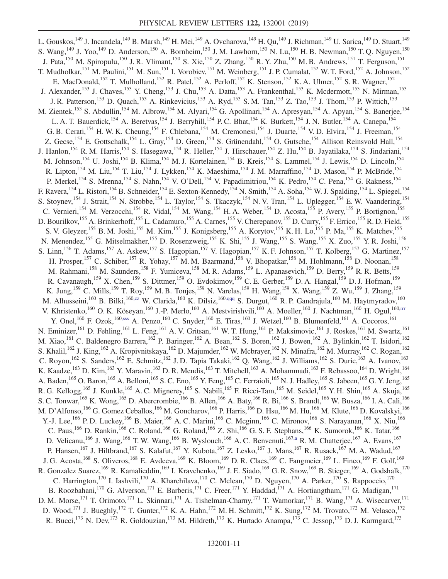<span id="page-10-2"></span><span id="page-10-1"></span><span id="page-10-0"></span>L. Gouskos, <sup>149</sup> J. Incandela, <sup>149</sup> B. Marsh, <sup>149</sup> H. Mei, <sup>149</sup> A. Ovcharova, <sup>149</sup> H. Qu, <sup>149</sup> J. Richman, <sup>149</sup> U. Sarica, <sup>149</sup> D. Stuart, <sup>149</sup> S. Wang,  $^{149}$  J. Yoo,  $^{149}$  D. Anderson,  $^{150}$  A. Bornheim,  $^{150}$  J. M. Lawhorn,  $^{150}$  N. Lu,  $^{150}$  H. B. Newman,  $^{150}$  T. Q. Nguyen,  $^{150}$ J. Pata,<sup>150</sup> M. Spiropulu,<sup>150</sup> J. R. Vlimant,<sup>150</sup> S. Xie,<sup>150</sup> Z. Zhang,<sup>150</sup> R. Y. Zhu,<sup>150</sup> M. B. Andrews,<sup>151</sup> T. Ferguson,<sup>151</sup> T. Mudholkar, <sup>151</sup> M. Paulini, <sup>151</sup> M. Sun, <sup>151</sup> I. Vorobiev, <sup>151</sup> M. Weinberg, <sup>151</sup> J. P. Cumalat, <sup>152</sup> W. T. Ford, <sup>152</sup> A. Johnson, <sup>152</sup> E. MacDonald,<sup>152</sup> T. Mulholland,<sup>152</sup> R. Patel,<sup>152</sup> A. Perloff,<sup>152</sup> K. Stenson,<sup>152</sup> K. A. Ulmer,<sup>152</sup> S. R. Wagner,<sup>152</sup> J. Alexander,<sup>153</sup> J. Chaves,<sup>153</sup> Y. Cheng,<sup>153</sup> J. Chu,<sup>153</sup> A. Datta,<sup>153</sup> A. Frankenthal,<sup>153</sup> K. Mcdermott,<sup>153</sup> N. Mirman,<sup>153</sup> J. R. Patterson,<sup>153</sup> D. Quach,<sup>153</sup> A. Rinkevicius,<sup>153</sup> A. Ryd,<sup>153</sup> S. M. Tan,<sup>153</sup> Z. Tao,<sup>153</sup> J. Thom,<sup>153</sup> P. Wittich,<sup>153</sup> M. Zientek,<sup>153</sup> S. Abdullin,<sup>154</sup> M. Albrow,<sup>154</sup> M. Alyari,<sup>154</sup> G. Apollinari,<sup>154</sup> A. Apresyan,<sup>154</sup> A. Apyan,<sup>154</sup> S. Banerjee,<sup>154</sup> L. A. T. Bauerdick,<sup>154</sup> A. Beretvas,<sup>154</sup> J. Berryhill,<sup>154</sup> P. C. Bhat,<sup>154</sup> K. Burkett,<sup>154</sup> J. N. Butler,<sup>154</sup> A. Canepa,<sup>154</sup> G. B. Cerati,<sup>154</sup> H. W. K. Cheung,<sup>154</sup> F. Chlebana,<sup>154</sup> M. Cremonesi,<sup>154</sup> J. Duarte,<sup>154</sup> V. D. Elvira,<sup>154</sup> J. Freeman,<sup>154</sup> Z. Gecse,<sup>154</sup> E. Gottschalk,<sup>154</sup> L. Gray,<sup>154</sup> D. Green,<sup>154</sup> S. Grünendahl,<sup>154</sup> O. Gutsche,<sup>154</sup> Allison Reinsvold Hall,<sup>154</sup> J. Hanlon,<sup>154</sup> R. M. Harris,<sup>154</sup> S. Hasegawa,<sup>154</sup> R. Heller,<sup>154</sup> J. Hirschauer,<sup>154</sup> Z. Hu,<sup>154</sup> B. Jayatilaka,<sup>154</sup> S. Jindariani,<sup>154</sup> M. Johnson,<sup>154</sup> U. Joshi,<sup>154</sup> B. Klima,<sup>154</sup> M. J. Kortelainen,<sup>154</sup> B. Kreis,<sup>154</sup> S. Lammel,<sup>154</sup> J. Lewis,<sup>154</sup> D. Lincoln,<sup>154</sup> R. Lipton,<sup>154</sup> M. Liu,<sup>154</sup> T. Liu,<sup>154</sup> J. Lykken,<sup>154</sup> K. Maeshima,<sup>154</sup> J. M. Marraffino,<sup>154</sup> D. Mason,<sup>154</sup> P. McBride,<sup>154</sup> P. Merkel,<sup>154</sup> S. Mrenna,<sup>154</sup> S. Nahn,<sup>154</sup> V. O'Dell,<sup>154</sup> V. Papadimitriou,<sup>154</sup> K. Pedro,<sup>154</sup> C. Pena,<sup>154</sup> G. Rakness,<sup>154</sup> F. Ravera, <sup>154</sup> L. Ristori, <sup>154</sup> B. Schneider, <sup>154</sup> E. Sexton-Kennedy, <sup>154</sup> N. Smith, <sup>154</sup> A. Soha, <sup>154</sup> W. J. Spalding, <sup>154</sup> L. Spiegel, <sup>154</sup> S. Stoynev,<sup>154</sup> J. Strait,<sup>154</sup> N. Strobbe,<sup>154</sup> L. Taylor,<sup>154</sup> S. Tkaczyk,<sup>154</sup> N. V. Tran,<sup>154</sup> L. Uplegger,<sup>154</sup> E. W. Vaandering,<sup>154</sup> C. Vernieri,<sup>154</sup> M. Verzocchi,<sup>154</sup> R. Vidal,<sup>154</sup> M. Wang,<sup>154</sup> H. A. Weber,<sup>154</sup> D. Acosta,<sup>155</sup> P. Avery,<sup>155</sup> P. Bortignon,<sup>155</sup> D. Bourilkov,<sup>155</sup> A. Brinkerhoff,<sup>155</sup> L. Cadamuro,<sup>155</sup> A. Carnes,<sup>155</sup> V. Cherepanov,<sup>155</sup> D. Curry,<sup>155</sup> F. Errico,<sup>155</sup> R. D. Field,<sup>155</sup> S. V. Gleyzer,<sup>155</sup> B. M. Joshi,<sup>155</sup> M. Kim,<sup>155</sup> J. Konigsberg,<sup>155</sup> A. Korytov,<sup>155</sup> K. H. Lo,<sup>155</sup> P. Ma,<sup>155</sup> K. Matchev,<sup>155</sup> N. Menendez,<sup>155</sup> G. Mitselmakher,<sup>155</sup> D. Rosenzweig,<sup>155</sup> K. Shi,<sup>155</sup> J. Wang,<sup>155</sup> S. Wang,<sup>155</sup> X. Zuo,<sup>155</sup> Y. R. Joshi,<sup>156</sup> S. Linn,<sup>156</sup> T. Adams,<sup>157</sup> A. Askew,<sup>157</sup> S. Hagopian,<sup>157</sup> V. Hagopian,<sup>157</sup> K. F. Johnson,<sup>157</sup> T. Kolberg,<sup>157</sup> G. Martinez,<sup>157</sup> H. Prosper,<sup>157</sup> C. Schiber,<sup>157</sup> R. Yohay,<sup>157</sup> M. M. Baarmand,<sup>158</sup> V. Bhopatkar,<sup>158</sup> M. Hohlmann,<sup>158</sup> D. Noonan,<sup>158</sup> M. Rahmani,<sup>158</sup> M. Saunders,<sup>158</sup> F. Yumiceva,<sup>158</sup> M. R. Adams,<sup>159</sup> L. Apanasevich,<sup>159</sup> D. Berry,<sup>159</sup> R. R. Betts,<sup>159</sup> R. Cavanaugh,<sup>159</sup> X. Chen,<sup>159</sup> S. Dittmer,<sup>159</sup> O. Evdokimov,<sup>159</sup> C. E. Gerber,<sup>159</sup> D. A. Hangal,<sup>159</sup> D. J. Hofman,<sup>159</sup> K. Jung,<sup>159</sup> C. Mills,<sup>159</sup> T. Roy,<sup>159</sup> M. B. Tonjes,<sup>159</sup> N. Varelas,<sup>159</sup> H. Wang,<sup>159</sup> X. Wang,<sup>159</sup> Z. Wu,<sup>159</sup> J. Zhang,<sup>159</sup> M. Alhusseini,<sup>160</sup> B. Bilki,<sup>16[0,zz](#page-15-49)</sup> W. Clarida,<sup>160</sup> K. Dilsiz,<sup>16[0,qqq](#page-16-15)</sup> S. Durgut,<sup>160</sup> R. P. Gandrajula,<sup>160</sup> M. Haytmyradov,<sup>160</sup> V. Khristenko,<sup>160</sup> O. K. Köseyan,<sup>160</sup> J.-P. Merlo,<sup>160</sup> A. Mestvirishvili,<sup>160</sup> A. Moeller,<sup>160</sup> J. Nachtman,<sup>160</sup> H. Ogul,<sup>160[,rrr](#page-16-16)</sup> Y. Onel,<sup>160</sup> F. Ozok,<sup>16[0,sss](#page-16-17)</sup> A. Penzo,<sup>160</sup> C. Snyder,<sup>160</sup> E. Tiras,<sup>160</sup> J. Wetzel,<sup>160</sup> B. Blumenfeld,<sup>161</sup> A. Cocoros,<sup>161</sup> N. Eminizer,<sup>161</sup> D. Fehling,<sup>161</sup> L. Feng,<sup>161</sup> A. V. Gritsan,<sup>161</sup> W. T. Hung,<sup>161</sup> P. Maksimovic,<sup>161</sup> J. Roskes,<sup>161</sup> M. Swartz,<sup>161</sup> M. Xiao, <sup>161</sup> C. Baldenegro Barrera, <sup>162</sup> P. Baringer, <sup>162</sup> A. Bean, <sup>162</sup> S. Boren, <sup>162</sup> J. Bowen, <sup>162</sup> A. Bylinkin, <sup>162</sup> T. Isidori, <sup>162</sup> S. Khalil,<sup>162</sup> J. King,<sup>162</sup> A. Kropivnitskaya,<sup>162</sup> D. Majumder,<sup>162</sup> W. Mcbrayer,<sup>162</sup> N. Minafra,<sup>162</sup> M. Murray,<sup>162</sup> C. Rogan,<sup>162</sup> C. Royon,<sup>162</sup> S. Sanders,<sup>162</sup> E. Schmitz,<sup>162</sup> J. D. Tapia Takaki,<sup>162</sup> Q. Wang,<sup>162</sup> J. Williams,<sup>162</sup> S. Duric,<sup>163</sup> A. Ivanov,<sup>163</sup> K. Kaadze,<sup>163</sup> D. Kim,<sup>163</sup> Y. Maravin,<sup>163</sup> D. R. Mendis,<sup>163</sup> T. Mitchell,<sup>163</sup> A. Mohammadi,<sup>163</sup> F. Rebassoo,<sup>164</sup> D. Wright,<sup>164</sup> A. Baden,<sup>165</sup> O. Baron,<sup>165</sup> A. Belloni,<sup>165</sup> S. C. Eno,<sup>165</sup> Y. Feng,<sup>165</sup> C. Ferraioli,<sup>165</sup> N. J. Hadley,<sup>165</sup> S. Jabeen,<sup>165</sup> G. Y. Jeng,<sup>165</sup> R. G. Kellogg,<sup>165</sup> J. Kunkle,<sup>165</sup> A. C. Mignerey,<sup>165</sup> S. Nabili,<sup>165</sup> F. Ricci-Tam,<sup>165</sup> M. Seidel,<sup>165</sup> Y. H. Shin,<sup>165</sup> A. Skuja,<sup>165</sup> S. C. Tonwar, <sup>165</sup> K. Wong, <sup>165</sup> D. Abercrombie, <sup>166</sup> B. Allen, <sup>166</sup> A. Baty, <sup>166</sup> R. Bi, <sup>166</sup> S. Brandt, <sup>166</sup> W. Busza, <sup>166</sup> I. A. Cali, <sup>166</sup> M. D'Alfonso,<sup>166</sup> G. Gomez Ceballos,<sup>166</sup> M. Goncharov,<sup>166</sup> P. Harris,<sup>166</sup> D. Hsu,<sup>166</sup> M. Hu,<sup>166</sup> M. Klute,<sup>166</sup> D. Kovalskyi,<sup>166</sup> Y.-J. Lee,<sup>166</sup> P. D. Luckey,<sup>166</sup> B. Maier,<sup>166</sup> A. C. Marini,<sup>166</sup> C. Mcginn,<sup>166</sup> C. Mironov,<sup>166</sup> S. Narayanan,<sup>166</sup> X. Niu,<sup>166</sup> C. Paus,<sup>166</sup> D. Rankin,<sup>166</sup> C. Roland,<sup>166</sup> G. Roland,<sup>166</sup> Z. Shi,<sup>166</sup> G. S. F. Stephans,<sup>166</sup> K. Sumorok,<sup>166</sup> K. Tatar,<sup>166</sup> D. Velicanu,<sup>166</sup> J. Wang,<sup>166</sup> T.W. Wang,<sup>166</sup> B. Wyslouch,<sup>166</sup> A.C. Benvenuti,<sup>16[7,a](#page-15-0)</sup> R.M. Chatterjee,<sup>167</sup> A. Evans,<sup>167</sup> P. Hansen,<sup>167</sup> J. Hiltbrand,<sup>167</sup> S. Kalafut,<sup>167</sup> Y. Kubota,<sup>167</sup> Z. Lesko,<sup>167</sup> J. Mans,<sup>167</sup> R. Rusack,<sup>167</sup> M. A. Wadud,<sup>167</sup> J. G. Acosta,<sup>168</sup> S. Oliveros,<sup>168</sup> E. Avdeeva,<sup>169</sup> K. Bloom,<sup>169</sup> D. R. Claes,<sup>169</sup> C. Fangmeier,<sup>169</sup> L. Finco,<sup>169</sup> F. Golf,<sup>169</sup> R. Gonzalez Suarez,<sup>169</sup> R. Kamalieddin,<sup>169</sup> I. Kravchenko,<sup>169</sup> J. E. Siado,<sup>169</sup> G. R. Snow,<sup>169</sup> B. Stieger,<sup>169</sup> A. Godshalk,<sup>170</sup> C. Harrington,<sup>170</sup> I. Iashvili,<sup>170</sup> A. Kharchilava,<sup>170</sup> C. Mclean,<sup>170</sup> D. Nguyen,<sup>170</sup> A. Parker,<sup>170</sup> S. Rappoccio,<sup>170</sup> B. Roozbahani,<sup>170</sup> G. Alverson,<sup>171</sup> E. Barberis,<sup>171</sup> C. Freer,<sup>171</sup> Y. Haddad,<sup>171</sup> A. Hortiangtham,<sup>171</sup> G. Madigan,<sup>171</sup> D. M. Morse,<sup>171</sup> T. Orimoto,<sup>171</sup> L. Skinnari,<sup>171</sup> A. Tishelman-Charny,<sup>171</sup> T. Wamorkar,<sup>171</sup> B. Wang,<sup>171</sup> A. Wisecarver,<sup>171</sup> D. Wood,<sup>171</sup> J. Bueghly,<sup>172</sup> T. Gunter,<sup>172</sup> K. A. Hahn,<sup>172</sup> M. H. Schmitt,<sup>172</sup> K. Sung,<sup>172</sup> M. Trovato,<sup>172</sup> M. Velasco,<sup>172</sup> R. Bucci,<sup>173</sup> N. Dev,<sup>173</sup> R. Goldouzian,<sup>173</sup> M. Hildreth,<sup>173</sup> K. Hurtado Anampa,<sup>173</sup> C. Jessop,<sup>173</sup> D. J. Karmgard,<sup>173</sup>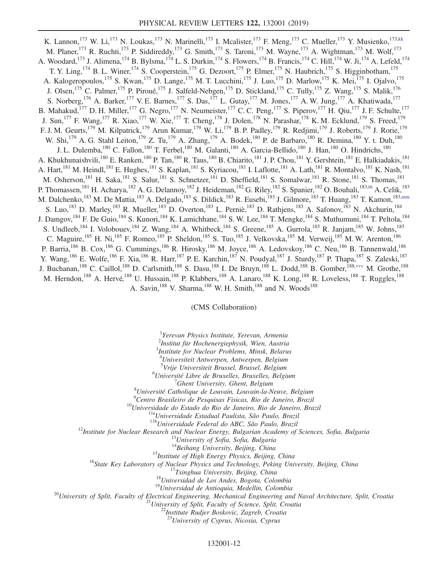<span id="page-11-1"></span><span id="page-11-0"></span>K. Lannon,<sup>173</sup> W. Li,<sup>173</sup> N. Loukas,<sup>173</sup> N. Marinelli,<sup>173</sup> I. Mcalister,<sup>173</sup> F. Meng,<sup>173</sup> C. Mueller,<sup>173</sup> Y. Musienko,<sup>173[,kk](#page-15-34)</sup> M. Planer,<sup>173</sup> R. Ruchti,<sup>173</sup> P. Siddireddy,<sup>173</sup> G. Smith,<sup>173</sup> S. Taroni,<sup>173</sup> M. Wayne,<sup>173</sup> A. Wightman,<sup>173</sup> M. Wolf,<sup>173</sup> A. Woodard,<sup>173</sup> J. Alimena,<sup>174</sup> B. Bylsma,<sup>174</sup> L. S. Durkin,<sup>174</sup> S. Flowers,<sup>174</sup> B. Francis,<sup>174</sup> C. Hill,<sup>174</sup> W. Ji,<sup>174</sup> A. Lefeld,<sup>174</sup> T. Y. Ling,<sup>174</sup> B. L. Winer,<sup>174</sup> S. Cooperstein,<sup>175</sup> G. Dezoort,<sup>175</sup> P. Elmer,<sup>175</sup> N. Haubrich,<sup>175</sup> S. Higginbotham,<sup>175</sup> A. Kalogeropoulos,<sup>175</sup> S. Kwan,<sup>175</sup> D. Lange,<sup>175</sup> M. T. Lucchini,<sup>175</sup> J. Luo,<sup>175</sup> D. Marlow,<sup>175</sup> K. Mei,<sup>175</sup> I. Ojalvo,<sup>175</sup> J. Olsen,<sup>175</sup> C. Palmer,<sup>175</sup> P. Piroué,<sup>175</sup> J. Salfeld-Nebgen,<sup>175</sup> D. Stickland,<sup>175</sup> C. Tully,<sup>175</sup> Z. Wang,<sup>175</sup> S. Malik,<sup>176</sup> S. Norberg,<sup>176</sup> A. Barker,<sup>177</sup> V. E. Barnes,<sup>177</sup> S. Das,<sup>177</sup> L. Gutay,<sup>177</sup> M. Jones,<sup>177</sup> A. W. Jung,<sup>177</sup> A. Khatiwada,<sup>177</sup> B. Mahakud,<sup>177</sup> D. H. Miller,<sup>177</sup> G. Negro,<sup>177</sup> N. Neumeister,<sup>177</sup> C. C. Peng,<sup>177</sup> S. Piperov,<sup>177</sup> H. Qiu,<sup>177</sup> J. F. Schulte,<sup>177</sup> J. Sun,<sup>177</sup> F. Wang,<sup>177</sup> R. Xiao,<sup>177</sup> W. Xie,<sup>177</sup> T. Cheng,<sup>178</sup> J. Dolen,<sup>178</sup> N. Parashar,<sup>178</sup> K. M. Ecklund,<sup>179</sup> S. Freed,<sup>179</sup> F. J. M. Geurts,<sup>179</sup> M. Kilpatrick,<sup>179</sup> Arun Kumar,<sup>179</sup> W. Li,<sup>179</sup> B. P. Padley,<sup>179</sup> R. Redjimi,<sup>179</sup> J. Roberts,<sup>179</sup> J. Rorie,<sup>179</sup> W. Shi,<sup>179</sup> A. G. Stahl Leiton,<sup>179</sup> Z. Tu,<sup>179</sup> A. Zhang,<sup>179</sup> A. Bodek,<sup>180</sup> P. de Barbaro,<sup>180</sup> R. Demina,<sup>180</sup> Y. t. Duh,<sup>180</sup> J. L. Dulemba, <sup>180</sup> C. Fallon, <sup>180</sup> T. Ferbel, <sup>180</sup> M. Galanti, <sup>180</sup> A. Garcia-Bellido, <sup>180</sup> J. Han, <sup>180</sup> O. Hindrichs, <sup>180</sup> A. Khukhunaishvili,<sup>180</sup> E. Ranken,<sup>180</sup> P. Tan,<sup>180</sup> R. Taus,<sup>180</sup> B. Chiarito,<sup>181</sup> J. P. Chou,<sup>181</sup> Y. Gershtein,<sup>181</sup> E. Halkiadakis,<sup>181</sup> A. Hart,<sup>181</sup> M. Heindl,<sup>181</sup> E. Hughes,<sup>181</sup> S. Kaplan,<sup>181</sup> S. Kyriacou,<sup>181</sup> I. Laflotte,<sup>181</sup> A. Lath,<sup>181</sup> R. Montalvo,<sup>181</sup> K. Nash,<sup>181</sup> M. Osherson,<sup>181</sup> H. Saka,<sup>181</sup> S. Salur,<sup>181</sup> S. Schnetzer,<sup>181</sup> D. Sheffield,<sup>181</sup> S. Somalwar,<sup>181</sup> R. Stone,<sup>181</sup> S. Thomas,<sup>181</sup> P. Thomassen,<sup>181</sup> H. Acharya,<sup>182</sup> A. G. Delannoy,<sup>182</sup> J. Heideman,<sup>182</sup> G. Riley,<sup>182</sup> S. Spanier,<sup>182</sup> O. Bouhali,<sup>183[,ttt](#page-16-18)</sup> A. Celik,<sup>183</sup> M. Dalchenko,<sup>183</sup> M. De Mattia,<sup>183</sup> A. Delgado,<sup>183</sup> S. Dildick,<sup>183</sup> R. Eusebi,<sup>183</sup> J. Gilmore,<sup>183</sup> T. Huang,<sup>183</sup> T. Kamon,<sup>183[,uuu](#page-16-19)</sup> S. Luo,<sup>183</sup> D. Marley,<sup>183</sup> R. Mueller,<sup>183</sup> D. Overton,<sup>183</sup> L. Perniè,<sup>183</sup> D. Rathjens,<sup>183</sup> A. Safonov,<sup>183</sup> N. Akchurin,<sup>184</sup> J. Damgov,<sup>184</sup> F. De Guio,<sup>184</sup> S. Kunori,<sup>184</sup> K. Lamichhane,<sup>184</sup> S. W. Lee,<sup>184</sup> T. Mengke,<sup>184</sup> S. Muthumuni,<sup>184</sup> T. Peltola,<sup>184</sup> S. Undleeb,<sup>184</sup> I. Volobouev,<sup>184</sup> Z. Wang,<sup>184</sup> A. Whitbeck,<sup>184</sup> S. Greene,<sup>185</sup> A. Gurrola,<sup>185</sup> R. Janjam,<sup>185</sup> W. Johns,<sup>185</sup> C. Maguire,<sup>185</sup> H. Ni,<sup>185</sup> F. Romeo,<sup>185</sup> P. Sheldon,<sup>185</sup> S. Tuo,<sup>185</sup> J. Velkovska,<sup>185</sup> M. Verweij,<sup>185</sup> M. W. Arenton,<sup>186</sup> P. Barria, <sup>186</sup> B. Cox, <sup>186</sup> G. Cummings, <sup>186</sup> R. Hirosky, <sup>186</sup> M. Joyce, <sup>186</sup> A. Ledovskoy, <sup>186</sup> C. Neu, <sup>186</sup> B. Tannenwald, <sup>186</sup> Y. Wang, <sup>186</sup> E. Wolfe, <sup>186</sup> F. Xia, <sup>186</sup> R. Harr, <sup>187</sup> P. E. Karchin, <sup>187</sup> N. Poudyal, <sup>187</sup> J. Sturdy, <sup>187</sup> P. Thapa, <sup>187</sup> S. Zaleski, <sup>187</sup> J. Buchanan,<sup>188</sup> C. Caillol,<sup>188</sup> D. Carlsmith,<sup>188</sup> S. Dasu,<sup>188</sup> I. De Bruyn,<sup>188</sup> L. Dodd,<sup>188</sup> B. Gomber,<sup>188[,vvv](#page-16-20)</sup> M. Grothe,<sup>188</sup> M. Herndon,<sup>188</sup> A. Hervé,<sup>188</sup> U. Hussain,<sup>188</sup> P. Klabbers,<sup>188</sup> A. Lanaro,<sup>188</sup> K. Long,<sup>188</sup> R. Loveless,<sup>188</sup> T. Ruggles,<sup>188</sup> A. Savin,<sup>188</sup> V. Sharma,<sup>188</sup> W. H. Smith,<sup>188</sup> and N. Woods<sup>188</sup>

(CMS Collaboration)

<span id="page-11-2"></span><sup>1</sup>Yerevan Physics Institute, Yerevan, Armenia

2 Institut für Hochenergiephysik, Wien, Austria

3 Institute for Nuclear Problems, Minsk, Belarus

<sup>4</sup>Universiteit Antwerpen, Antwerpen, Belgium

<sup>5</sup>Vrije Universiteit Brussel, Brussel, Belgium<br><sup>6</sup>Université Libre de Bruxelles, Bruxelles, Belgium  ${}^{6}$ Université Libre de Bruxelles, Bruxelles, Belgium

 $^7$ Ghent University, Ghent, Belgium

<sup>8</sup>Université Catholique de Louvain, Louvain-la-Neuve, Belgium<br><sup>9</sup>Centro Brasileiro de Pesquisas Fisicas, Rio de Janeiro, Brazil

<sup>10</sup>Universidade do Estado do Rio de Janeiro, Rio de Janeiro, Brazil<br><sup>11a</sup>Universidade Estadual Paulista, São Paulo, Brazil<br><sup>11b</sup>Universidade Federal do ABC, São Paulo, Brazil<br><sup>12</sup>Institute for Nuclear Research and Nuclea

<sup>15</sup>Institute of High Energy Physics, Beijing, China<br><sup>16</sup>State Key Laboratory of Nuclear Physics and Technology, Peking University, Beijing, China<br><sup>17</sup>Tsinghua University, Beijing, China<br><sup>18</sup>Universidad de Los Andes, Bogo

 $^{23}$ University of Cyprus, Nicosia, Cyprus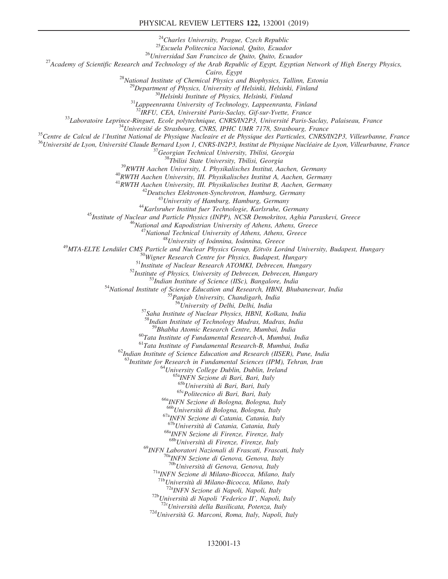## PHYSICAL REVIEW LETTERS 122, 132001 (2019)

<sup>24</sup>Charles University, Prague, Czech Republic<br><sup>25</sup>Escuela Politecnica Nacional, Quito, Ecuador<br><sup>26</sup>Universidad San Francisco de Quito, Quito, Ecuador<br><sup>27</sup>Academy of Scientific Research and Technology of the Arab Republic <sup>28</sup>National Institute of Chemical Physics and Biophysics, Tallinn, Estonia<br><sup>29</sup>Department of Physics, University of Helsinki, Helsinki, Finland<br><sup>30</sup>Helsinki Institute of Physics, Helsinki, Finland<br><sup>31</sup>Lappeenranta Univers <sup>33</sup>Laboratoire Leprince-Ringuet, Ecole polytechnique, CNRS/IN2P3, Université Paris-Saclay, Palaiseau, France<br><sup>34</sup>Université de Strasbourg, CNRS, IPHC UMR 7178, Strasbourg, France<br><sup>35</sup>Centre de Calcul de l'Institut Nation <sup>41</sup>RWTH Aachen University, III. Physikalisches Institut B, Aachen, Germany<br><sup>42</sup> Deutsches Elektronen-Synchrotron, Hamburg, Germany<br><sup>43</sup> University of Hamburg, Hamburg, Germany<br><sup>43</sup> University of Hamburg, Hamburg, Germany <sup>55</sup>Panjab University, Chandigarh, India<br><sup>56</sup>University of Delhi, Delhi, India<br><sup>57</sup>Saha Institute of Nuclear Physics, HBNI, Kolkata, India <sup>8</sup>Indian Institute of Technology Madras, Madras, India<br><sup>59</sup>Bhabha Atomic Research Centre, Mumbai, India <sup>60</sup>Tata Institute of Fundamental Research-A, Mumbai, India  $6^{1}$ Tata Institute of Fundamental Research-B, Mumbai, India  $^{62}$ Indian Institute of Science Education and Research (IISER), Pune, India <sup>63</sup>Institute for Research in Fundamental Sciences (IPM), Tehran, Iran <sup>64</sup>University College Dublin, Dublin, Ireland <sup>65a</sup>INFN Sezione di Bari, Bari, Italy <sup>65b</sup>Università di Bari, Bari, Italy  $65c$ Politecnico di Bari, Bari, Italy<br> $66a$ INFN Sezione di Bologna, Bologna, Italy<br> $66b$ Università di Bologna, Bologna, Italy  $^{67a}$ INFN Sezione di Catania, Catania, Italy  $^{67b}$ Università di Catania, Catania, Italy <sup>68a</sup>INFN Sezione di Firenze, Firenze, Italy <sup>68b</sup>Università di Firenze, Firenze, Italy <sup>69</sup>INFN Laboratori Nazionali di Frascati, Frascati, Italy<br><sup>70a</sup>INFN Sezione di Genova, Genova, Italy<br><sup>70b</sup>Università di Genova, Genova, Italy <sup>71a</sup>INFN Sezione di Milano-Bicocca, Milano, Italy  $^{71b}$ Università di Milano-Bicocca, Milano, Italy <sup>72a</sup>INFN Sezione di Napoli, Napoli, Italy<br><sup>72b</sup>Università di Napoli 'Federico II', Napoli, Italy<br><sup>72c</sup>Università della Basilicata, Potenza, Italy<br><sup>72d</sup>Università G. Marconi, Roma, Italy, Napoli, Italy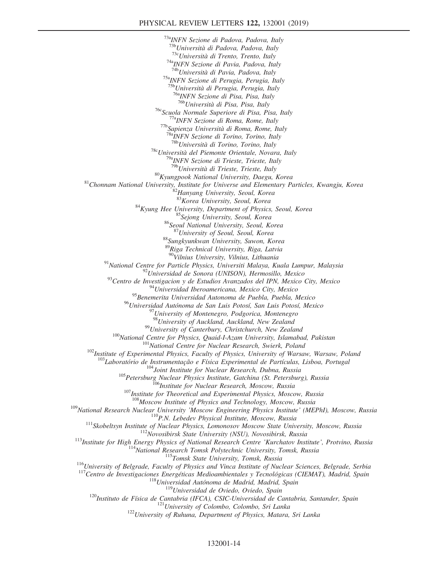<sup>73a</sup>INFN Sezione di Padova, Padova, Italy<br><sup>73b</sup>Università di Padova, Padova, Italy <sup>73c</sup>Università di Trento, Trento, Italy <sup>74a</sup>INFN Sezione di Pavia, Padova, Italy <sup>74b</sup>Università di Pavia, Padova, Italy <sup>75a</sup>INFN Sezione di Perugia, Perugia, Italy<br><sup>75b</sup>Università di Perugia, Perugia, Italy <sup>76a</sup>INFN Sezione di Pisa, Pisa, Italy <sup>76b</sup>Università di Pisa, Pisa, Italy <sup>76c</sup>Scuola Normale Superiore di Pisa, Pisa, Italy<br><sup>77a</sup>INFN Sezione di Roma, Rome, Italy<br><sup>77b</sup>Sapienza Università di Roma, Rome, Italy <sup>78a</sup>INFN Sezione di Torino, Torino, Italy <sup>78b</sup>Università di Torino, Torino, Italy <sup>78</sup>CUniversità del Piemonte Orientale, Novara, Italy<br><sup>79a</sup>INFN Sezione di Trieste, Trieste, Italy<br><sup>79b</sup>Università di Trieste, Trieste, Italy <sup>80</sup>Kyungpook National University, Daegu, Korea <sup>81</sup>Chonnam National University, Institute for Universe and Elementary Particles, Kwangju, Korea  $\frac{^{81}H}{^{81}K$ orea University, Seoul, Korea 82Hanyang University, Seoul, K <sup>84</sup>Kyung Hee University, Department of Physics, Seoul, Korea<br><sup>85</sup>Sejong University, Seoul, Korea <sup>86</sup>Seoul National University, Seoul, Korea <sup>87</sup>University of Seoul, Seoul, Korea 88 Sungkyunkwan University, Suwon, Korea <sup>89</sup>Riga Technical University, Riga, Latvia<br><sup>90</sup>Vilnius University, Vilnius, Lithuania <sup>91</sup>National Centre for Particle Physics, Universiti Malaya, Kuala Lumpur, Malaysia<br><sup>92</sup>Universidad de Sonora (UNISON), Hermosillo, Mexico<br><sup>93</sup>Centro de Investigacion y de Estudios Avanzados del IPN, Mexico City, Mexico<br><sup></sup> <sup>95</sup> Benemerita Universidad Autonoma de Puebla, Puebla, Mexico <sup>96</sup>Universidad Autónoma de San Luis Potosí, San Luis Potosí, Mexico<br><sup>97</sup>University of Montenegro, Podgorica, Montenegro<br><sup>98</sup>University of Auckland, Auckland, New Zealand <sup>99</sup>University of Canterbury, Christchurch, New Zealand<br><sup>100</sup>National Centre for Physics, Quaid-I-Azam University, Islamabad, Pakistan<br><sup>101</sup>National Centre for Nuclear Research, Swierk, Poland<br><sup>102</sup>Institute of Experiment <sup>104</sup>Joint Institute for Nuclear Research, Dubna, Russia<br><sup>105</sup>Petersburg Nuclear Physics Institute, Gatchina (St. Petersburg), Russia<br><sup>105</sup>Institute for Theoretical and Experimental Physics, Moscow, Russia<br><sup>107</sup>Institute  $\begin{array}{r} \n ^{109}\text{National Research Nuclear University 'Moscow Engineering Physics Institute' (MEPhI), Moscow, Russia \\ \n ^{110}P.N. Lebedev Physics, Lomonosov, Russia \\ \n ^{111}\text{Skobeltsyn Institute of Nuclear Physics, Lomonosov, Moscow, Russia \\ \n ^{112}\text{Novosibirsk State University (NSU), Novosibirsk, Russia \\ \n ^{113}\text{Institute for High Energy Physics of National Research Centre 'Kurchcutov Institute', Protvino, Russia \\ \n ^{114}\text{National Research Tomsk Polytechnic University, Tomsk, Russia \\ \n ^{115}\text{Tomsk State University, Tomsk, Russia \\ \n ^{116}\text{University of Belgrade, Faculty of Physics and Vi$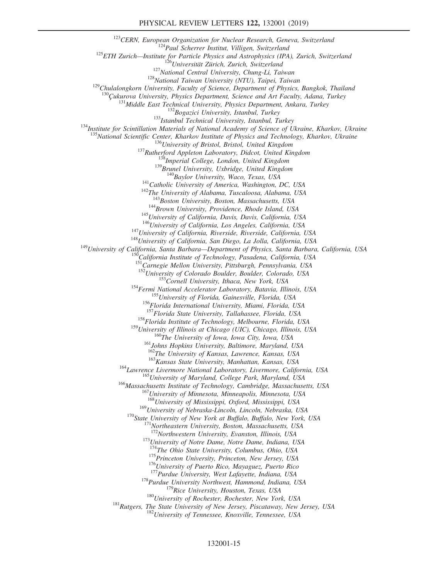<sup>123</sup>CERN, European Organization for Nuclear Research, Geneva, Switzerland<br><sup>124</sup>Paul Scherrer Institut, Villigen, Switzerland<br><sup>125</sup>CTH Zurich—Institute for Particle Physics and Astrophysics (IPA), Zurich, Switzerland<br><sup>126</sup> <sup>131</sup>Middle East Technical University, Physics Department, Ankara, Turkey<br><sup>132</sup>Bogazici University, Istanbul, Turkey<br><sup>133</sup>Istanbul Technical University, Istanbul, Turkey<br><sup>134</sup>Institute for Scintillation Materials of Nation <sup>135</sup>National Scientific Center, Kharkov Institute of Physics and Technology, Kharkov, Ukraine<br><sup>136</sup>University of Bristol, Bristol, United Kingdom<br><sup>137</sup>Rutherford Appleton Laboratory, Didcot, United Kingdom<br><sup>138</sup>Imperial <sup>144</sup>Brown University, Providence, Rhode Island, USA<br><sup>145</sup>University of California, Davis, Davis, California, USA<br><sup>146</sup>University of California, Los Angeles, California, USA<br><sup>147</sup>University of California, Riverside, River <sup>151</sup>Carnegie Mellon University, Pittsburgh, Pennsylvania, USA<br><sup>152</sup>University of Colorado Boulder, Boulder, Colorado, USA  $153$ Fermi National Accelerator Laboratory, Batavia, Illinois, USA<br>  $154$  Fermi National Accelerator Laboratory, Batavia, Illinois, USA<br>  $155$  University of Florida, Gainesville, Florida, USA<br>  $156$  Florida International <sup>158</sup>Florida Institute of Technology, Melbourne, Florida, USA <sup>159</sup>University of Illinois at Chicago (UIC), Chicago, Illinois, USA<br><sup>160</sup>The University of Iowa, Iowa City, Iowa, USA<br><sup>161</sup>Johns Hopkins University, Baltimore, Maryland, USA<br><sup>162</sup>The University of Kansas, Lawrence, Kansa <sup>163</sup> Kansas State University, Manhattan, Kansas, USA<br><sup>164</sup> Lawrence Livermore National Laboratory, Livermore, California, USA<br><sup>165</sup> University of Maryland, College Park, Maryland, USA<br><sup>166</sup> Massachusetts Institute of Tec 168<br>University of Mississippi, Oxford, Mississippi, USA<br><sup>169</sup>University of Nebraska-Lincoln, Lincoln, Nebraska, USA <sup>170</sup>State University of New York at Buffalo, Buffalo, New York, USA <sup>171</sup>Northeastern University, Boston, Massachusetts, USA <sup>172</sup>Northwestern University, Evanston, Illinois, USA <sup>173</sup>University of Notre Dame, Notre Dame, Indiana, USA  $174$ The Ohio State University, Columbus, Ohio, USA <sup>175</sup>Princeton University, Princeton, New Jersey, USA<br><sup>176</sup>University of Puerto Rico, Mayaguez, Puerto Rico<br><sup>177</sup>Purdue University, West Lafayette, Indiana, USA<br><sup>178</sup>Purdue University Northwest, Hammond, Indiana, USA<br><sup>179</sup>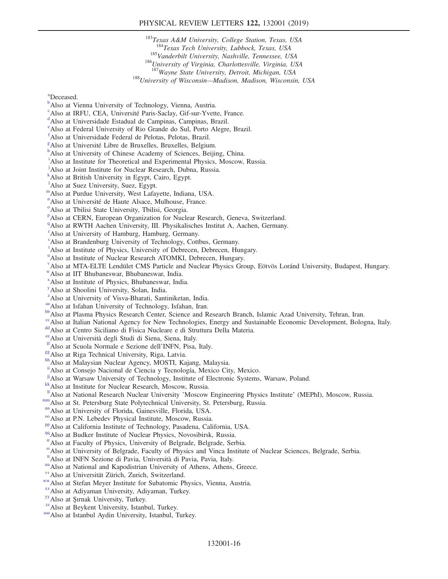## PHYSICAL REVIEW LETTERS 122, 132001 (2019)

 $183$ Texas A&M University, College Station, Texas, USA<br> $184$ Texas Tech University, Lubbock, Texas, USA <sup>185</sup>Vanderbilt University, Nashville, Tennessee, USA <sup>186</sup>University of Virginia, Charlottesville, Virginia, USA <sup>187</sup>Wayne State University, Detroit, Michigan, USA <sup>188</sup>University of Wisconsin-Madison, Madison, Wisconsin, USA

<span id="page-15-0"></span>[a](#page-5-11) Deceased.

- <span id="page-15-1"></span><sup>[b](#page-5-12)</sup>Also at Vienna University of Technology, Vienna, Austria.
- <span id="page-15-2"></span><sup>[c](#page-5-13)</sup>Also at IRFU, CEA, Université Paris-Saclay, Gif-sur-Yvette, France.
- <span id="page-15-3"></span>Also at Universidade Estadual de Campinas, Campinas, Brazil.
- <span id="page-15-4"></span>[e](#page-5-15) Also at Federal University of Rio Grande do Sul, Porto Alegre, Brazil.
- <span id="page-15-5"></span>[f](#page-5-16) Also at Universidade Federal de Pelotas, Pelotas, Brazil.
- <span id="page-15-6"></span><sup>[g](#page-5-17)</sup> Also at Université Libre de Bruxelles, Bruxelles, Belgium.<br>[h](#page-5-18) Also et University of Chinese Acedemy of Sciences, Beijij
- <span id="page-15-7"></span><sup>h</sup>Also at University of Chinese Academy of Sciences, Beijing, China.
- <span id="page-15-8"></span><sup>[i](#page-5-19)</sup>Also at Institute for Theoretical and Experimental Physics, Moscow, Russia.
- <span id="page-15-9"></span><sup>[j](#page-5-20)</sup>Also at Joint Institute for Nuclear Research, Dubna, Russia.
- <span id="page-15-10"></span>[k](#page-5-21) Also at British University in Egypt, Cairo, Egypt.
- <sup>1</sup>Also at Suez University, Suez, Egypt.
- <span id="page-15-11"></span>[m](#page-6-0)Also at Purdue University, West Lafayette, Indiana, USA.
- <span id="page-15-12"></span><sup>[n](#page-6-1)</sup> Als[o](#page-6-2) at Université de Haute Alsace, Mulhouse, France.
- <span id="page-15-13"></span>Also at Tbilisi State University, Tbilisi, Georgia.
- <span id="page-15-14"></span><su[p](#page-6-3)>p</sup>Also at CERN, European Organization for Nuclear Research, Geneva, Switzerland.
- <span id="page-15-15"></span><sup>[q](#page-6-4)</sup>Also at RWTH Aachen University, III. Physikalisches Institut A, Aachen, Germany.
- <span id="page-15-16"></span>[r](#page-6-5) Also at University of Hamburg, Hamburg, Germany.
- <span id="page-15-17"></span>[s](#page-6-6) Also at Brandenburg University of Technology, Cottbus, Germany.
- <span id="page-15-18"></span><sup>[t](#page-6-7)</sup>Also at Institute of Physics, University of Debrecen, Debrecen, Hungary.
- <span id="page-15-19"></span><s[u](#page-6-8)p>u</sup> Also at Institute of Nuclear Research ATOMKI, Debrecen, Hungary.
- v Also at MTA-ELTE Lendület CMS Particle and Nuclear Physics Group, Eötvös Loránd University, Budapest, Hungary.
- <span id="page-15-20"></span>[w](#page-6-9)Also at IIT Bhubaneswar, Bhubaneswar, India.
- <span id="page-15-21"></span>[x](#page-6-9) Also at Institute of Physics, Bhubaneswar, India.
- <span id="page-15-22"></span>[y](#page-7-0) Also at Shoolini University, Solan, India.
- <span id="page-15-23"></span><sup>[z](#page-7-0)</sup>Also at University of Visva-Bharati, Santiniketan, India.
- <span id="page-15-25"></span>
- <span id="page-15-24"></span>[aa](#page-7-1) Also at Isfahan University of Technology, Isfahan, Iran.<br><sup>[bb](#page-7-2)</sup>Also at Plasma Physics Research Center, Science and Research Branch, Islamic Azad University, Tehran, Iran.
- <span id="page-15-26"></span><sup>[cc](#page-7-3)</sup>Also at Italian National Agency for New Technologies, Energy and Sustainable Economic Development, Bologna, Italy. [dd](#page-7-4)<br>dAlso at Centro Siciliano di Fisica Nucleare e di Struttura Della Materia.<br><sup>ee</sup> Also at Università d
- <span id="page-15-28"></span><span id="page-15-27"></span>
- 
- <span id="page-15-30"></span>
- <span id="page-15-31"></span>
- <span id="page-15-29"></span><sup>[ff](#page-7-6)</sup> Also at Scuola Normale e Sezione dell'INFN, Pisa, Italy.<br><sup>[gg](#page-8-0)</sup> Also at Riga Technical University, Riga, Latvia.<br><sup>[hh](#page-8-1)</sup> Also at Malaysian Nuclear Agency, MOSTI, Kajang, Malaysia.
- <span id="page-15-32"></span>[ii](#page-8-2)Also at Consejo Nacional de Ciencia y Tecnología, Mexico City, Mexico.
- <span id="page-15-33"></span><sup>[jj](#page-8-3)</sup>Also at Warsaw University of Technology, Institute of Electronic Systems, Warsaw, Poland. [kk](#page-8-4)Also at Institute for Nuclear Research, Moscow, Russia.
- <span id="page-15-34"></span>
- <span id="page-15-38"></span><span id="page-15-35"></span><sup>11</sup>Also at National Research Nuclear University 'Moscow Engineering Physics Institute' (MEPhI), Moscow, Russia.<br><sup>nm</sup>Also at St. Petersburg State Polytechnical University, St. Petersburg, Russia.<br><sup>nm</sup>Also at University of
- <span id="page-15-36"></span>
- <span id="page-15-37"></span>
- <span id="page-15-39"></span>
- <span id="page-15-40"></span>
- 
- <span id="page-15-41"></span>[rr](#page-8-9)Also at Faculty of Physics, University of Belgrade, Belgrade, Serbia.
- <span id="page-15-42"></span><sup>[ss](#page-8-9)</sup>Also at University of Belgrade, Faculty of Physics and Vinca Institute of Nuclear Sciences, Belgrade, Serbia.<br><sup>tt</sup>Also at INFN Sezione di Pavia, Università di Pavia, Pavia, Italy.
- <span id="page-15-43"></span>
- <span id="page-15-44"></span><sup>[uu](#page-9-0)</sup> Also at National and Kapodistrian University of Athens, Athens, Greece.<br>
<sup>[vv](#page-9-1)</sup> Also at Universität Zürich, Zurich, Switzerland.<br>
<sup>[ww](#page-9-2)</sup> Also at Stefan Meyer Institute for Subatomic Physics, Vienna, Austria.<br>
<sup>[xx](#page-9-3)</sup> Also at
- <span id="page-15-46"></span><span id="page-15-45"></span>
- <span id="page-15-47"></span>
- <span id="page-15-48"></span>
- <span id="page-15-49"></span>
- <span id="page-15-50"></span>
-